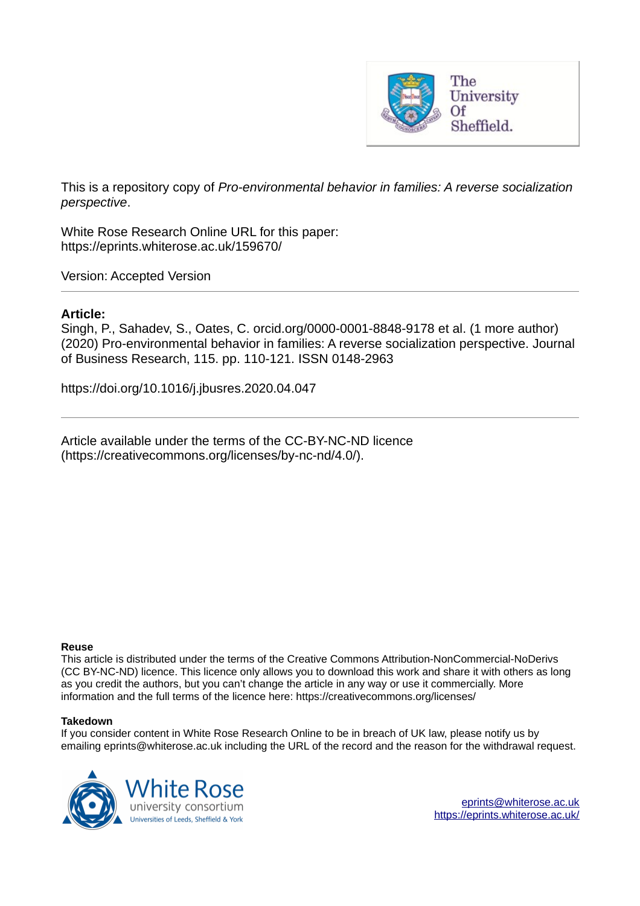

This is a repository copy of *Pro-environmental behavior in families: A reverse socialization perspective*.

White Rose Research Online URL for this paper: https://eprints.whiterose.ac.uk/159670/

Version: Accepted Version

## **Article:**

Singh, P., Sahadev, S., Oates, C. orcid.org/0000-0001-8848-9178 et al. (1 more author) (2020) Pro-environmental behavior in families: A reverse socialization perspective. Journal of Business Research, 115. pp. 110-121. ISSN 0148-2963

https://doi.org/10.1016/j.jbusres.2020.04.047

Article available under the terms of the CC-BY-NC-ND licence (https://creativecommons.org/licenses/by-nc-nd/4.0/).

#### **Reuse**

This article is distributed under the terms of the Creative Commons Attribution-NonCommercial-NoDerivs (CC BY-NC-ND) licence. This licence only allows you to download this work and share it with others as long as you credit the authors, but you can't change the article in any way or use it commercially. More information and the full terms of the licence here: https://creativecommons.org/licenses/

#### **Takedown**

If you consider content in White Rose Research Online to be in breach of UK law, please notify us by emailing eprints@whiterose.ac.uk including the URL of the record and the reason for the withdrawal request.

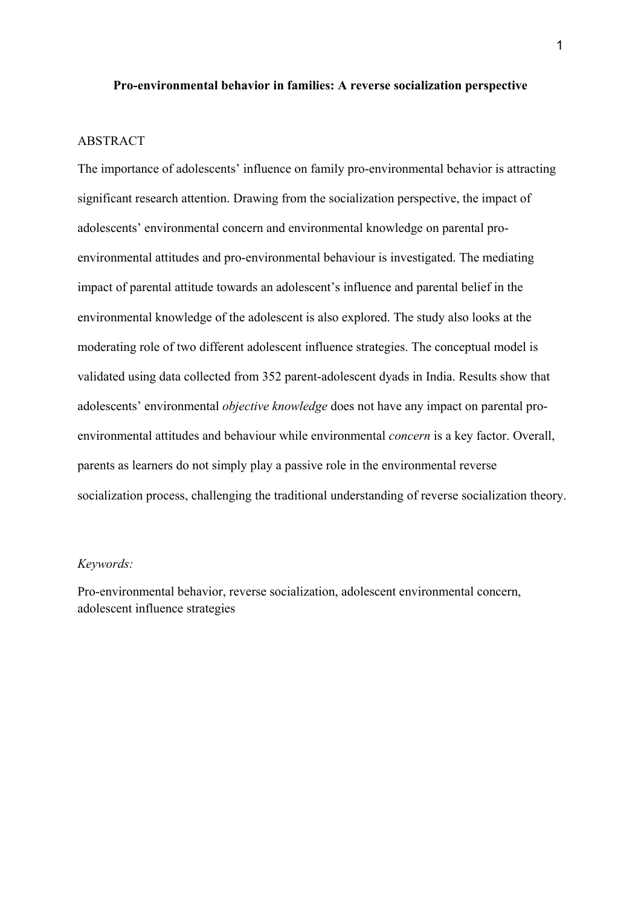#### **Pro-environmental behavior in families: A reverse socialization perspective**

## ABSTRACT

The importance of adolescents' influence on family pro-environmental behavior is attracting significant research attention. Drawing from the socialization perspective, the impact of adolescents' environmental concern and environmental knowledge on parental proenvironmental attitudes and pro-environmental behaviour is investigated. The mediating impact of parental attitude towards an adolescent's influence and parental belief in the environmental knowledge of the adolescent is also explored. The study also looks at the moderating role of two different adolescent influence strategies. The conceptual model is validated using data collected from 352 parent-adolescent dyads in India. Results show that adolescents' environmental *objective knowledge* does not have any impact on parental proenvironmental attitudes and behaviour while environmental *concern* is a key factor. Overall, parents as learners do not simply play a passive role in the environmental reverse socialization process, challenging the traditional understanding of reverse socialization theory.

#### *Keywords:*

Pro-environmental behavior, reverse socialization, adolescent environmental concern, adolescent influence strategies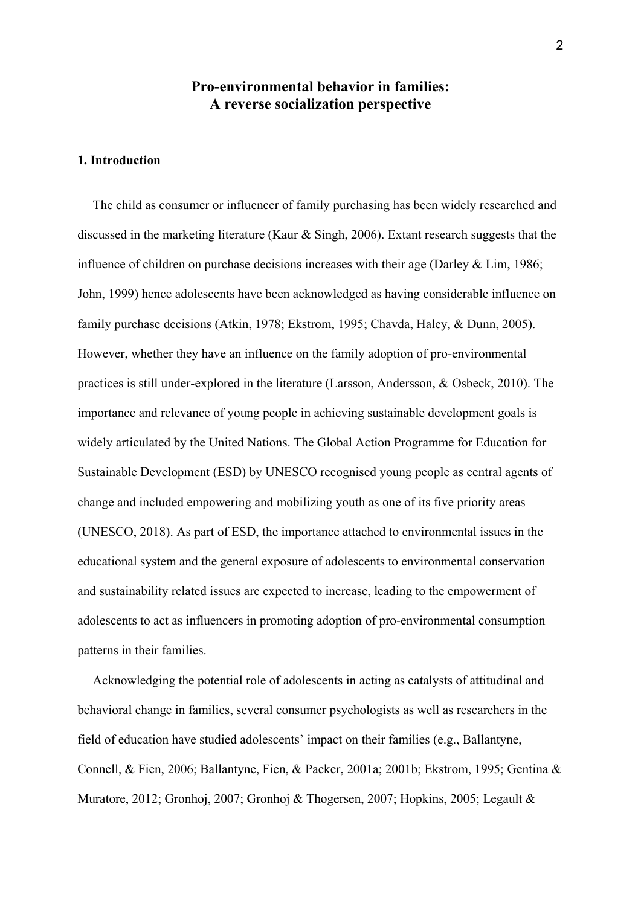## **Pro-environmental behavior in families: A reverse socialization perspective**

## **1. Introduction**

The child as consumer or influencer of family purchasing has been widely researched and discussed in the marketing literature (Kaur & Singh, 2006). Extant research suggests that the influence of children on purchase decisions increases with their age (Darley & Lim, 1986; John, 1999) hence adolescents have been acknowledged as having considerable influence on family purchase decisions (Atkin, 1978; Ekstrom, 1995; Chavda, Haley, & Dunn, 2005). However, whether they have an influence on the family adoption of pro-environmental practices is still under-explored in the literature (Larsson, Andersson, & Osbeck, 2010). The importance and relevance of young people in achieving sustainable development goals is widely articulated by the United Nations. The Global Action Programme for Education for Sustainable Development (ESD) by UNESCO recognised young people as central agents of change and included empowering and mobilizing youth as one of its five priority areas (UNESCO, 2018). As part of ESD, the importance attached to environmental issues in the educational system and the general exposure of adolescents to environmental conservation and sustainability related issues are expected to increase, leading to the empowerment of adolescents to act as influencers in promoting adoption of pro-environmental consumption patterns in their families.

Acknowledging the potential role of adolescents in acting as catalysts of attitudinal and behavioral change in families, several consumer psychologists as well as researchers in the field of education have studied adolescents' impact on their families (e.g., Ballantyne, Connell, & Fien, 2006; Ballantyne, Fien, & Packer, 2001a; 2001b; Ekstrom, 1995; Gentina & Muratore, 2012; Gronhoj, 2007; Gronhoj & Thogersen, 2007; Hopkins, 2005; Legault &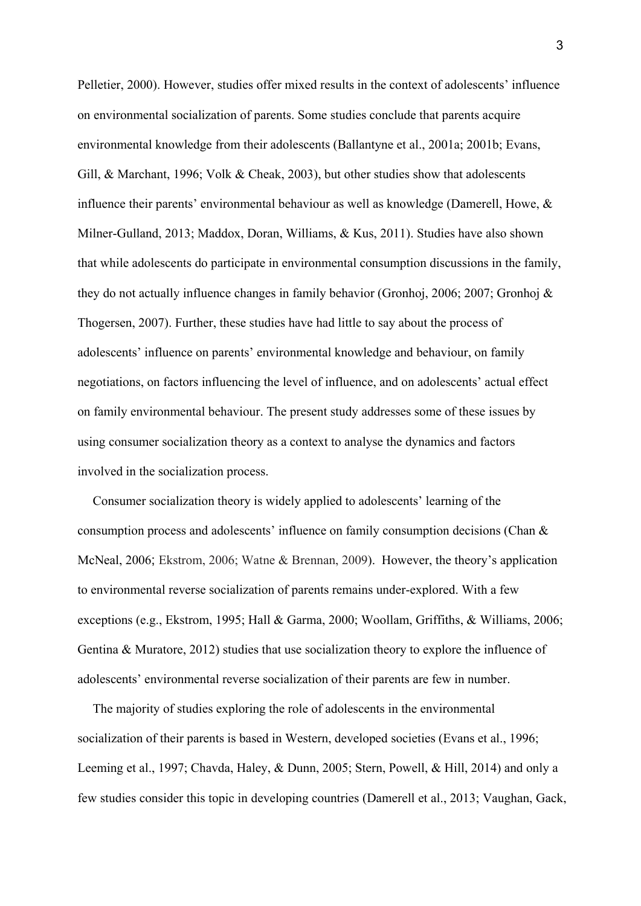Pelletier, 2000). However, studies offer mixed results in the context of adolescents' influence on environmental socialization of parents. Some studies conclude that parents acquire environmental knowledge from their adolescents (Ballantyne et al., 2001a; 2001b; Evans, Gill, & Marchant, 1996; Volk & Cheak, 2003), but other studies show that adolescents influence their parents' environmental behaviour as well as knowledge (Damerell, Howe, & Milner-Gulland, 2013; Maddox, Doran, Williams, & Kus, 2011). Studies have also shown that while adolescents do participate in environmental consumption discussions in the family, they do not actually influence changes in family behavior (Gronhoj, 2006; 2007; Gronhoj & Thogersen, 2007). Further, these studies have had little to say about the process of adolescents' influence on parents' environmental knowledge and behaviour, on family negotiations, on factors influencing the level of influence, and on adolescents' actual effect on family environmental behaviour. The present study addresses some of these issues by using consumer socialization theory as a context to analyse the dynamics and factors involved in the socialization process.

Consumer socialization theory is widely applied to adolescents' learning of the consumption process and adolescents' influence on family consumption decisions (Chan & McNeal, 2006; Ekstrom, 2006; Watne & Brennan, 2009). However, the theory's application to environmental reverse socialization of parents remains under-explored. With a few exceptions (e.g., Ekstrom, 1995; Hall & Garma, 2000; Woollam, Griffiths, & Williams, 2006; Gentina & Muratore, 2012) studies that use socialization theory to explore the influence of adolescents' environmental reverse socialization of their parents are few in number.

The majority of studies exploring the role of adolescents in the environmental socialization of their parents is based in Western, developed societies (Evans et al., 1996; Leeming et al., 1997; Chavda, Haley, & Dunn, 2005; Stern, Powell, & Hill, 2014) and only a few studies consider this topic in developing countries (Damerell et al., 2013; Vaughan, Gack,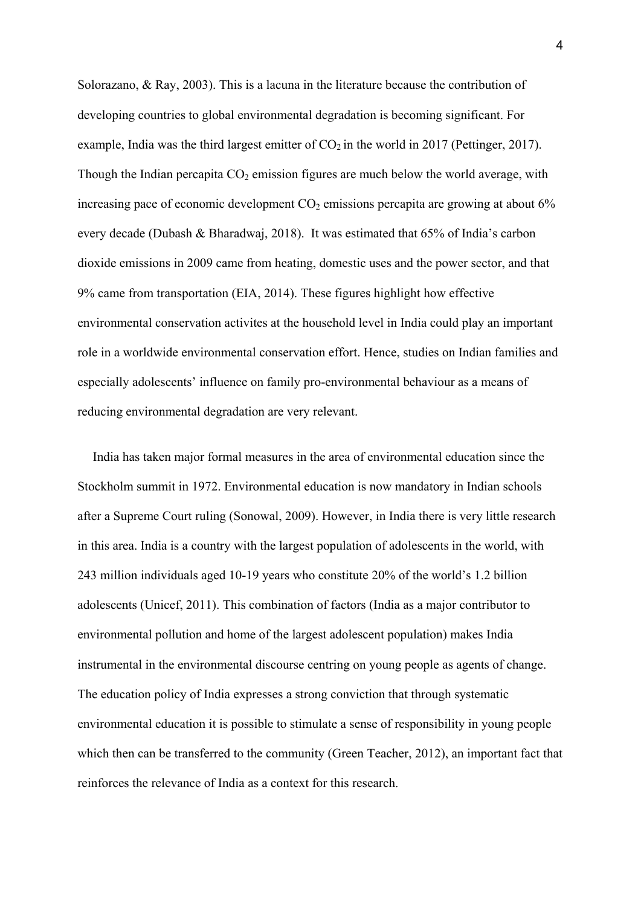Solorazano, & Ray, 2003). This is a lacuna in the literature because the contribution of developing countries to global environmental degradation is becoming significant. For example, India was the third largest emitter of  $CO<sub>2</sub>$  in the world in 2017 (Pettinger, 2017). Though the Indian percapita  $CO<sub>2</sub>$  emission figures are much below the world average, with increasing pace of economic development  $CO<sub>2</sub>$  emissions percapita are growing at about 6% every decade (Dubash & Bharadwaj, 2018). It was estimated that 65% of India's carbon dioxide emissions in 2009 came from heating, domestic uses and the power sector, and that 9% came from transportation (EIA, 2014). These figures highlight how effective environmental conservation activites at the household level in India could play an important role in a worldwide environmental conservation effort. Hence, studies on Indian families and especially adolescents' influence on family pro-environmental behaviour as a means of reducing environmental degradation are very relevant.

India has taken major formal measures in the area of environmental education since the Stockholm summit in 1972. Environmental education is now mandatory in Indian schools after a Supreme Court ruling (Sonowal, 2009). However, in India there is very little research in this area. India is a country with the largest population of adolescents in the world, with 243 million individuals aged 10-19 years who constitute 20% of the world's 1.2 billion adolescents (Unicef, 2011). This combination of factors (India as a major contributor to environmental pollution and home of the largest adolescent population) makes India instrumental in the environmental discourse centring on young people as agents of change. The education policy of India expresses a strong conviction that through systematic environmental education it is possible to stimulate a sense of responsibility in young people which then can be transferred to the community (Green Teacher, 2012), an important fact that reinforces the relevance of India as a context for this research.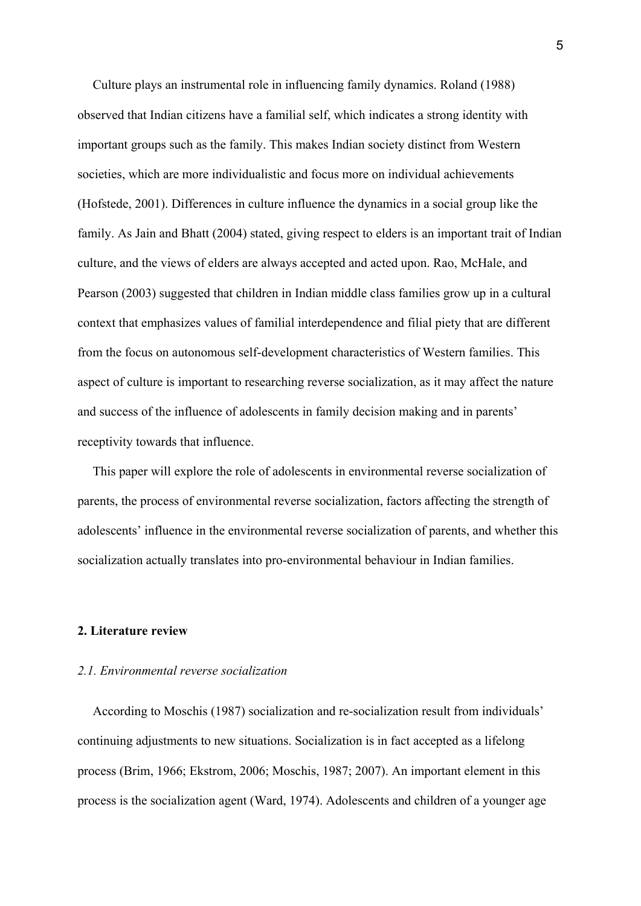Culture plays an instrumental role in influencing family dynamics. Roland (1988) observed that Indian citizens have a familial self, which indicates a strong identity with important groups such as the family. This makes Indian society distinct from Western societies, which are more individualistic and focus more on individual achievements (Hofstede, 2001). Differences in culture influence the dynamics in a social group like the family. As Jain and Bhatt (2004) stated, giving respect to elders is an important trait of Indian culture, and the views of elders are always accepted and acted upon. Rao, McHale, and Pearson (2003) suggested that children in Indian middle class families grow up in a cultural context that emphasizes values of familial interdependence and filial piety that are different from the focus on autonomous self-development characteristics of Western families. This aspect of culture is important to researching reverse socialization, as it may affect the nature and success of the influence of adolescents in family decision making and in parents' receptivity towards that influence.

This paper will explore the role of adolescents in environmental reverse socialization of parents, the process of environmental reverse socialization, factors affecting the strength of adolescents' influence in the environmental reverse socialization of parents, and whether this socialization actually translates into pro-environmental behaviour in Indian families.

#### **2. Literature review**

#### *2.1. Environmental reverse socialization*

According to Moschis (1987) socialization and re-socialization result from individuals' continuing adjustments to new situations. Socialization is in fact accepted as a lifelong process (Brim, 1966; Ekstrom, 2006; Moschis, 1987; 2007). An important element in this process is the socialization agent (Ward, 1974). Adolescents and children of a younger age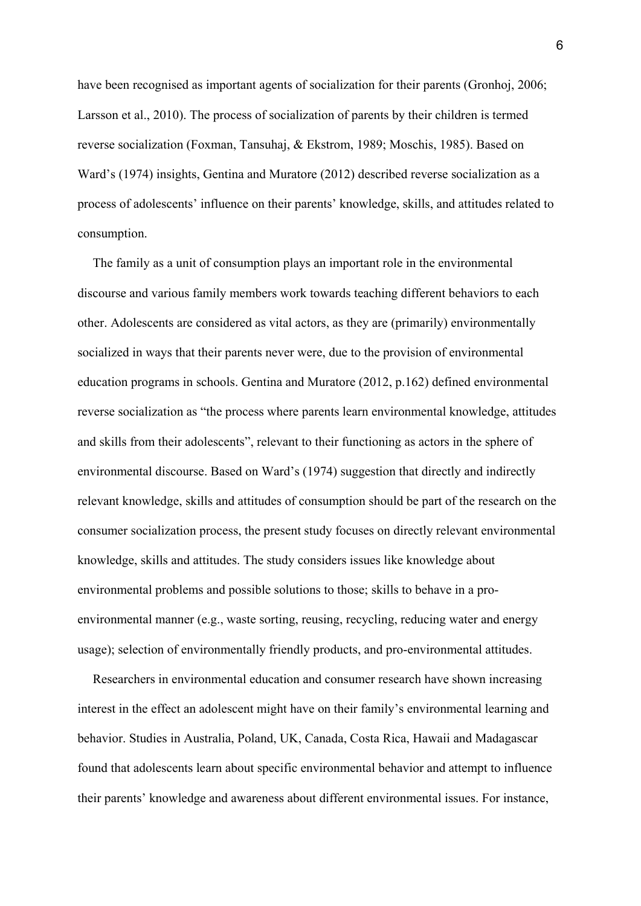have been recognised as important agents of socialization for their parents (Gronhoj, 2006; Larsson et al., 2010). The process of socialization of parents by their children is termed reverse socialization (Foxman, Tansuhaj, & Ekstrom, 1989; Moschis, 1985). Based on Ward's (1974) insights, Gentina and Muratore (2012) described reverse socialization as a process of adolescents' influence on their parents' knowledge, skills, and attitudes related to consumption.

The family as a unit of consumption plays an important role in the environmental discourse and various family members work towards teaching different behaviors to each other. Adolescents are considered as vital actors, as they are (primarily) environmentally socialized in ways that their parents never were, due to the provision of environmental education programs in schools. Gentina and Muratore (2012, p.162) defined environmental reverse socialization as "the process where parents learn environmental knowledge, attitudes and skills from their adolescents", relevant to their functioning as actors in the sphere of environmental discourse. Based on Ward's (1974) suggestion that directly and indirectly relevant knowledge, skills and attitudes of consumption should be part of the research on the consumer socialization process, the present study focuses on directly relevant environmental knowledge, skills and attitudes. The study considers issues like knowledge about environmental problems and possible solutions to those; skills to behave in a proenvironmental manner (e.g., waste sorting, reusing, recycling, reducing water and energy usage); selection of environmentally friendly products, and pro-environmental attitudes.

Researchers in environmental education and consumer research have shown increasing interest in the effect an adolescent might have on their family's environmental learning and behavior. Studies in Australia, Poland, UK, Canada, Costa Rica, Hawaii and Madagascar found that adolescents learn about specific environmental behavior and attempt to influence their parents' knowledge and awareness about different environmental issues. For instance,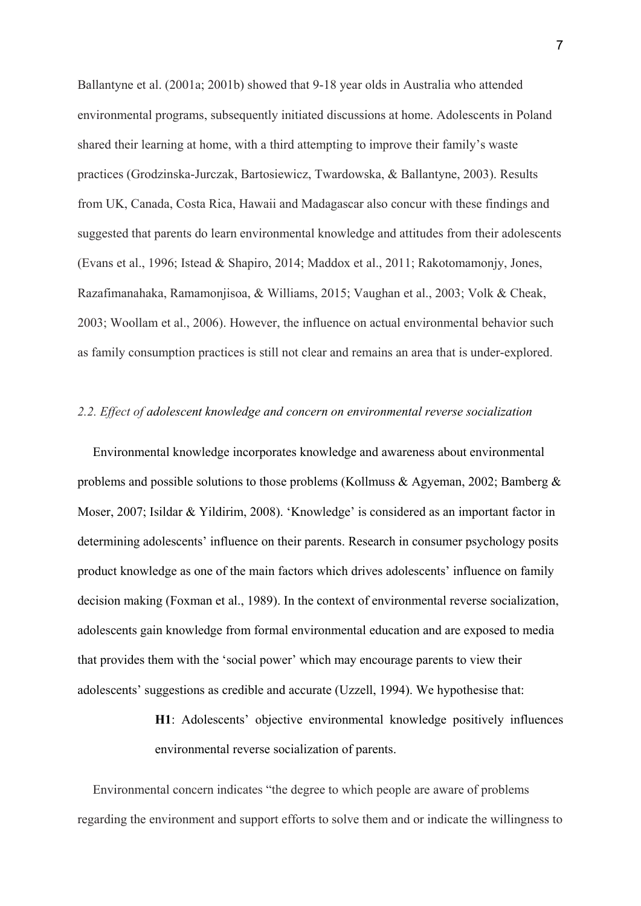Ballantyne et al. (2001a; 2001b) showed that 9-18 year olds in Australia who attended environmental programs, subsequently initiated discussions at home. Adolescents in Poland shared their learning at home, with a third attempting to improve their family's waste practices (Grodzinska-Jurczak, Bartosiewicz, Twardowska, & Ballantyne, 2003). Results from UK, Canada, Costa Rica, Hawaii and Madagascar also concur with these findings and suggested that parents do learn environmental knowledge and attitudes from their adolescents (Evans et al., 1996; Istead & Shapiro, 2014; Maddox et al., 2011; Rakotomamonjy, Jones, Razafimanahaka, Ramamonjisoa, & Williams, 2015; Vaughan et al., 2003; Volk & Cheak, 2003; Woollam et al., 2006). However, the influence on actual environmental behavior such as family consumption practices is still not clear and remains an area that is under-explored.

#### *2.2. Effect of adolescent knowledge and concern on environmental reverse socialization*

Environmental knowledge incorporates knowledge and awareness about environmental problems and possible solutions to those problems (Kollmuss & Agyeman, 2002; Bamberg & Moser, 2007; Isildar & Yildirim, 2008). 'Knowledge' is considered as an important factor in determining adolescents' influence on their parents. Research in consumer psychology posits product knowledge as one of the main factors which drives adolescents' influence on family decision making (Foxman et al., 1989). In the context of environmental reverse socialization, adolescents gain knowledge from formal environmental education and are exposed to media that provides them with the 'social power' which may encourage parents to view their adolescents' suggestions as credible and accurate (Uzzell, 1994). We hypothesise that:

> **H1**: Adolescents' objective environmental knowledge positively influences environmental reverse socialization of parents.

Environmental concern indicates "the degree to which people are aware of problems regarding the environment and support efforts to solve them and or indicate the willingness to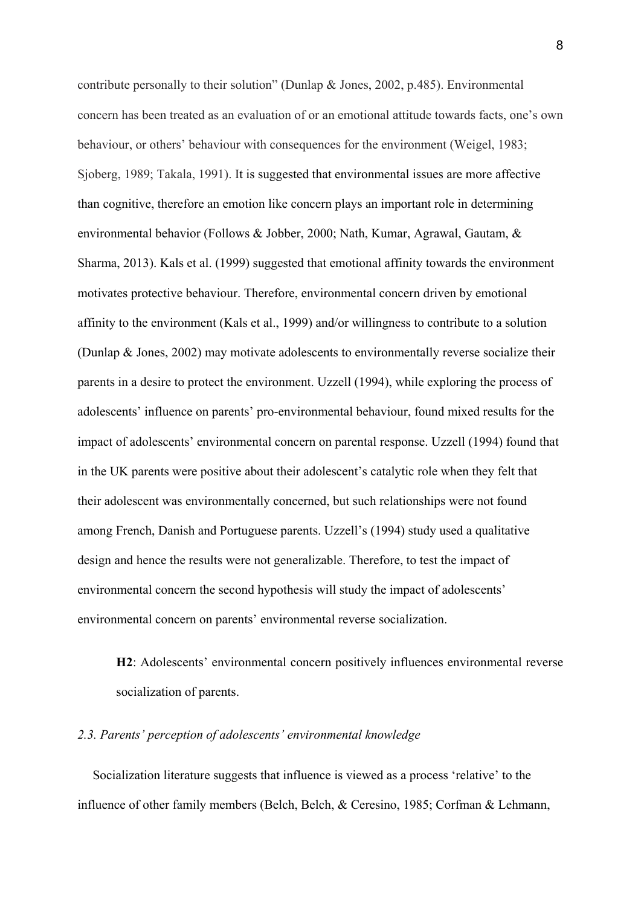contribute personally to their solution" (Dunlap & Jones, 2002, p.485). Environmental concern has been treated as an evaluation of or an emotional attitude towards facts, one's own behaviour, or others' behaviour with consequences for the environment (Weigel, 1983; Sjoberg, 1989; Takala, 1991). It is suggested that environmental issues are more affective than cognitive, therefore an emotion like concern plays an important role in determining environmental behavior (Follows & Jobber, 2000; Nath, Kumar, Agrawal, Gautam, & Sharma, 2013). Kals et al. (1999) suggested that emotional affinity towards the environment motivates protective behaviour. Therefore, environmental concern driven by emotional affinity to the environment (Kals et al., 1999) and/or willingness to contribute to a solution (Dunlap & Jones, 2002) may motivate adolescents to environmentally reverse socialize their parents in a desire to protect the environment. Uzzell (1994), while exploring the process of adolescents' influence on parents' pro-environmental behaviour, found mixed results for the impact of adolescents' environmental concern on parental response. Uzzell (1994) found that in the UK parents were positive about their adolescent's catalytic role when they felt that their adolescent was environmentally concerned, but such relationships were not found among French, Danish and Portuguese parents. Uzzell's (1994) study used a qualitative design and hence the results were not generalizable. Therefore, to test the impact of environmental concern the second hypothesis will study the impact of adolescents' environmental concern on parents' environmental reverse socialization.

**H2**: Adolescents' environmental concern positively influences environmental reverse socialization of parents.

### *2.3. Parents' perception of adolescents' environmental knowledge*

Socialization literature suggests that influence is viewed as a process 'relative' to the influence of other family members (Belch, Belch, & Ceresino, 1985; Corfman & Lehmann,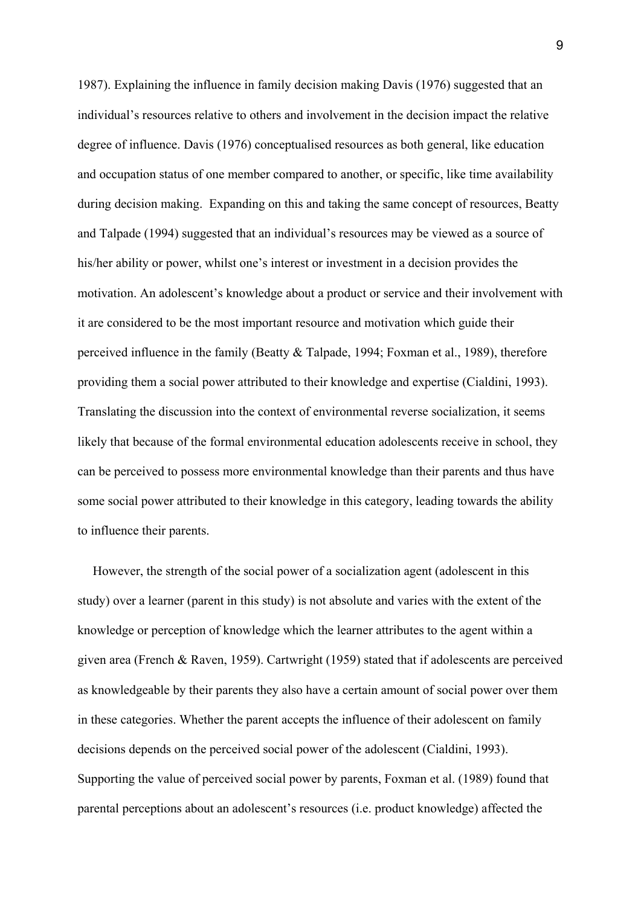1987). Explaining the influence in family decision making Davis (1976) suggested that an individual's resources relative to others and involvement in the decision impact the relative degree of influence. Davis (1976) conceptualised resources as both general, like education and occupation status of one member compared to another, or specific, like time availability during decision making. Expanding on this and taking the same concept of resources, Beatty and Talpade (1994) suggested that an individual's resources may be viewed as a source of his/her ability or power, whilst one's interest or investment in a decision provides the motivation. An adolescent's knowledge about a product or service and their involvement with it are considered to be the most important resource and motivation which guide their perceived influence in the family (Beatty & Talpade, 1994; Foxman et al., 1989), therefore providing them a social power attributed to their knowledge and expertise (Cialdini, 1993). Translating the discussion into the context of environmental reverse socialization, it seems likely that because of the formal environmental education adolescents receive in school, they can be perceived to possess more environmental knowledge than their parents and thus have some social power attributed to their knowledge in this category, leading towards the ability to influence their parents.

However, the strength of the social power of a socialization agent (adolescent in this study) over a learner (parent in this study) is not absolute and varies with the extent of the knowledge or perception of knowledge which the learner attributes to the agent within a given area (French & Raven, 1959). Cartwright (1959) stated that if adolescents are perceived as knowledgeable by their parents they also have a certain amount of social power over them in these categories. Whether the parent accepts the influence of their adolescent on family decisions depends on the perceived social power of the adolescent (Cialdini, 1993). Supporting the value of perceived social power by parents, Foxman et al. (1989) found that parental perceptions about an adolescent's resources (i.e. product knowledge) affected the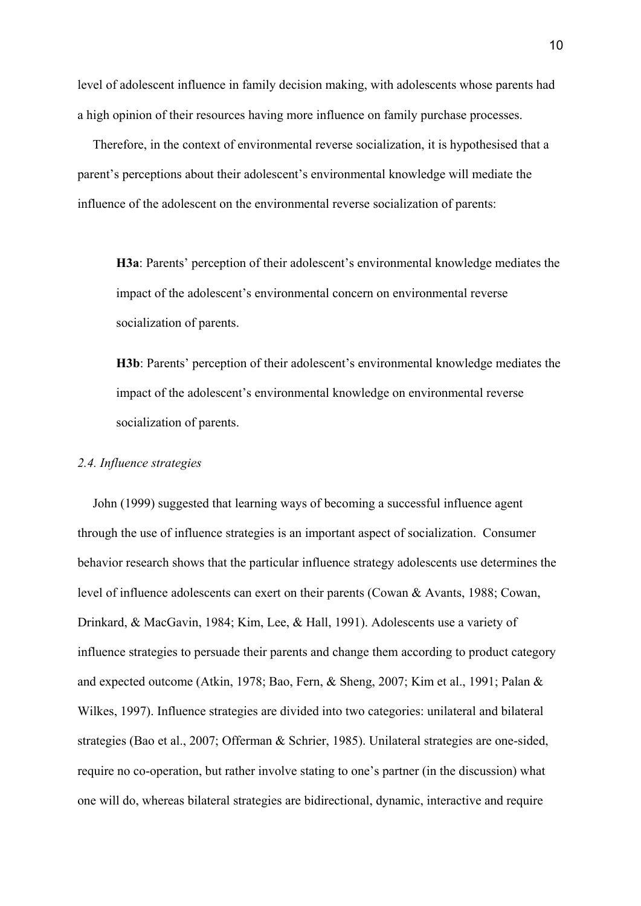level of adolescent influence in family decision making, with adolescents whose parents had a high opinion of their resources having more influence on family purchase processes.

Therefore, in the context of environmental reverse socialization, it is hypothesised that a parent's perceptions about their adolescent's environmental knowledge will mediate the influence of the adolescent on the environmental reverse socialization of parents:

**H3a**: Parents' perception of their adolescent's environmental knowledge mediates the impact of the adolescent's environmental concern on environmental reverse socialization of parents.

**H3b**: Parents' perception of their adolescent's environmental knowledge mediates the impact of the adolescent's environmental knowledge on environmental reverse socialization of parents.

#### *2.4. Influence strategies*

John (1999) suggested that learning ways of becoming a successful influence agent through the use of influence strategies is an important aspect of socialization. Consumer behavior research shows that the particular influence strategy adolescents use determines the level of influence adolescents can exert on their parents (Cowan & Avants, 1988; Cowan, Drinkard, & MacGavin, 1984; Kim, Lee, & Hall, 1991). Adolescents use a variety of influence strategies to persuade their parents and change them according to product category and expected outcome (Atkin, 1978; Bao, Fern, & Sheng, 2007; Kim et al., 1991; Palan & Wilkes, 1997). Influence strategies are divided into two categories: unilateral and bilateral strategies (Bao et al., 2007; Offerman & Schrier, 1985). Unilateral strategies are one-sided, require no co-operation, but rather involve stating to one's partner (in the discussion) what one will do, whereas bilateral strategies are bidirectional, dynamic, interactive and require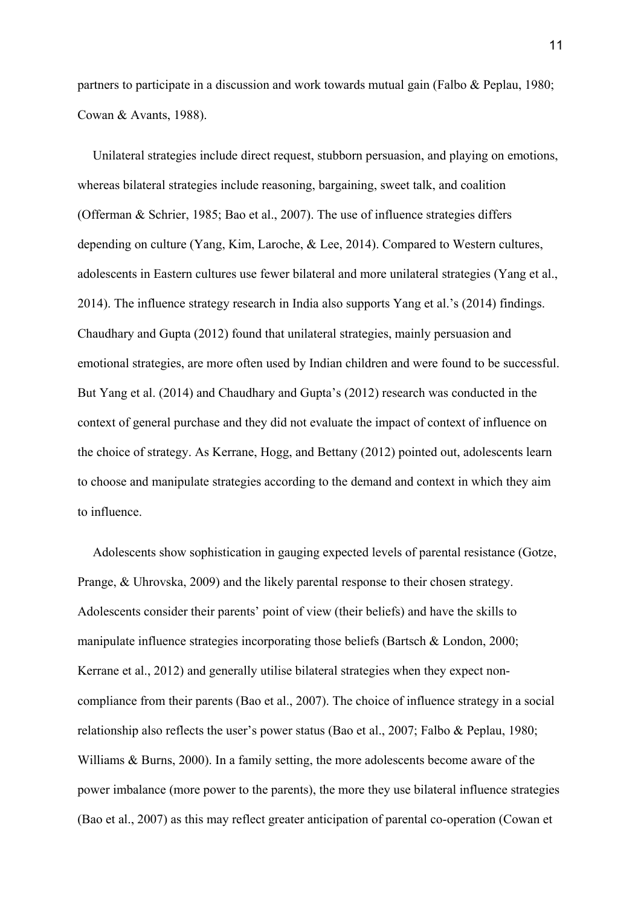partners to participate in a discussion and work towards mutual gain (Falbo & Peplau, 1980; Cowan & Avants, 1988).

Unilateral strategies include direct request, stubborn persuasion, and playing on emotions, whereas bilateral strategies include reasoning, bargaining, sweet talk, and coalition (Offerman & Schrier, 1985; Bao et al., 2007). The use of influence strategies differs depending on culture (Yang, Kim, Laroche, & Lee, 2014). Compared to Western cultures, adolescents in Eastern cultures use fewer bilateral and more unilateral strategies (Yang et al., 2014). The influence strategy research in India also supports Yang et al.'s (2014) findings. Chaudhary and Gupta (2012) found that unilateral strategies, mainly persuasion and emotional strategies, are more often used by Indian children and were found to be successful. But Yang et al. (2014) and Chaudhary and Gupta's (2012) research was conducted in the context of general purchase and they did not evaluate the impact of context of influence on the choice of strategy. As Kerrane, Hogg, and Bettany (2012) pointed out, adolescents learn to choose and manipulate strategies according to the demand and context in which they aim to influence.

Adolescents show sophistication in gauging expected levels of parental resistance (Gotze, Prange, & Uhrovska, 2009) and the likely parental response to their chosen strategy. Adolescents consider their parents' point of view (their beliefs) and have the skills to manipulate influence strategies incorporating those beliefs (Bartsch & London, 2000; Kerrane et al., 2012) and generally utilise bilateral strategies when they expect noncompliance from their parents (Bao et al., 2007). The choice of influence strategy in a social relationship also reflects the user's power status (Bao et al., 2007; Falbo & Peplau, 1980; Williams & Burns, 2000). In a family setting, the more adolescents become aware of the power imbalance (more power to the parents), the more they use bilateral influence strategies (Bao et al., 2007) as this may reflect greater anticipation of parental co-operation (Cowan et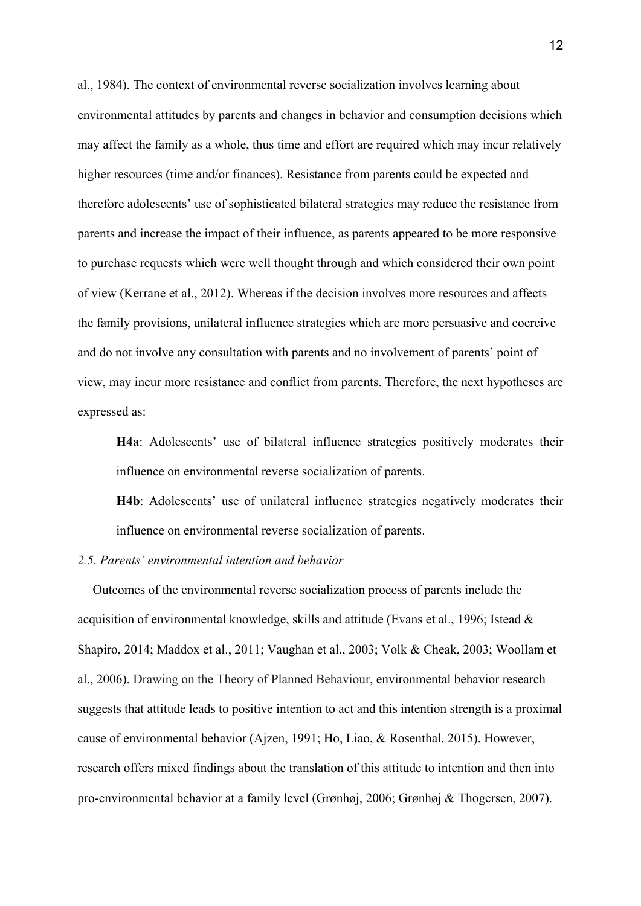al., 1984). The context of environmental reverse socialization involves learning about environmental attitudes by parents and changes in behavior and consumption decisions which may affect the family as a whole, thus time and effort are required which may incur relatively higher resources (time and/or finances). Resistance from parents could be expected and therefore adolescents' use of sophisticated bilateral strategies may reduce the resistance from parents and increase the impact of their influence, as parents appeared to be more responsive to purchase requests which were well thought through and which considered their own point of view (Kerrane et al., 2012). Whereas if the decision involves more resources and affects the family provisions, unilateral influence strategies which are more persuasive and coercive and do not involve any consultation with parents and no involvement of parents' point of view, may incur more resistance and conflict from parents. Therefore, the next hypotheses are expressed as:

**H4a**: Adolescents' use of bilateral influence strategies positively moderates their influence on environmental reverse socialization of parents.

**H4b**: Adolescents' use of unilateral influence strategies negatively moderates their influence on environmental reverse socialization of parents.

## *2.5. Parents' environmental intention and behavior*

Outcomes of the environmental reverse socialization process of parents include the acquisition of environmental knowledge, skills and attitude (Evans et al., 1996; Istead & Shapiro, 2014; Maddox et al., 2011; Vaughan et al., 2003; Volk & Cheak, 2003; Woollam et al., 2006). Drawing on the Theory of Planned Behaviour, environmental behavior research suggests that attitude leads to positive intention to act and this intention strength is a proximal cause of environmental behavior (Ajzen, 1991; Ho, Liao, & Rosenthal, 2015). However, research offers mixed findings about the translation of this attitude to intention and then into pro-environmental behavior at a family level (Grønhøj, 2006; Grønhøj & Thogersen, 2007).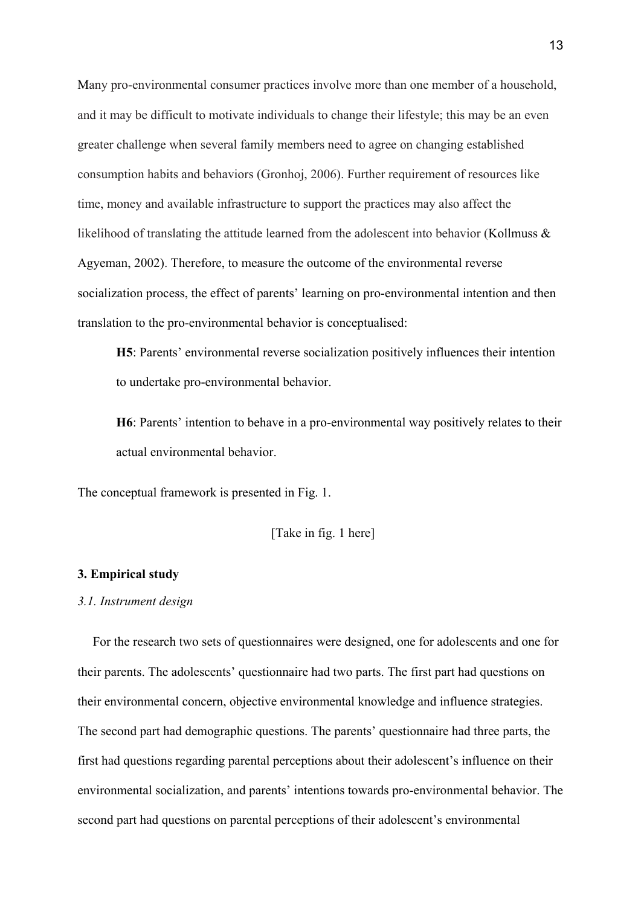Many pro-environmental consumer practices involve more than one member of a household, and it may be difficult to motivate individuals to change their lifestyle; this may be an even greater challenge when several family members need to agree on changing established consumption habits and behaviors (Gronhoj, 2006). Further requirement of resources like time, money and available infrastructure to support the practices may also affect the likelihood of translating the attitude learned from the adolescent into behavior (Kollmuss & Agyeman, 2002). Therefore, to measure the outcome of the environmental reverse socialization process, the effect of parents' learning on pro-environmental intention and then translation to the pro-environmental behavior is conceptualised:

**H5**: Parents' environmental reverse socialization positively influences their intention to undertake pro-environmental behavior.

**H6**: Parents' intention to behave in a pro-environmental way positively relates to their actual environmental behavior.

The conceptual framework is presented in Fig. 1.

[Take in fig. 1 here]

#### **3. Empirical study**

#### *3.1. Instrument design*

For the research two sets of questionnaires were designed, one for adolescents and one for their parents. The adolescents' questionnaire had two parts. The first part had questions on their environmental concern, objective environmental knowledge and influence strategies. The second part had demographic questions. The parents' questionnaire had three parts, the first had questions regarding parental perceptions about their adolescent's influence on their environmental socialization, and parents' intentions towards pro-environmental behavior. The second part had questions on parental perceptions of their adolescent's environmental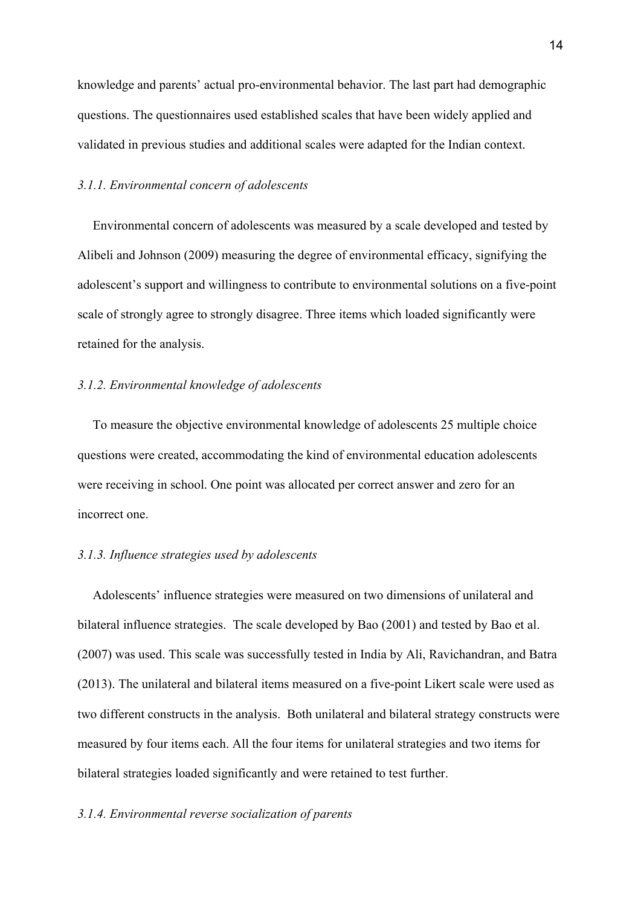knowledge and parents' actual pro-environmental behavior. The last part had demographic questions. The questionnaires used established scales that have been widely applied and validated in previous studies and additional scales were adapted for the Indian context.

#### *3.1.1. Environmental concern of adolescents*

Environmental concern of adolescents was measured by a scale developed and tested by Alibeli and Johnson (2009) measuring the degree of environmental efficacy, signifying the adolescent's support and willingness to contribute to environmental solutions on a five-point scale of strongly agree to strongly disagree. Three items which loaded significantly were retained for the analysis.

## *3.1.2. Environmental knowledge of adolescents*

To measure the objective environmental knowledge of adolescents 25 multiple choice questions were created, accommodating the kind of environmental education adolescents were receiving in school. One point was allocated per correct answer and zero for an incorrect one.

#### *3.1.3. Influence strategies used by adolescents*

Adolescents' influence strategies were measured on two dimensions of unilateral and bilateral influence strategies. The scale developed by Bao (2001) and tested by Bao et al. (2007) was used. This scale was successfully tested in India by Ali, Ravichandran, and Batra (2013). The unilateral and bilateral items measured on a five-point Likert scale were used as two different constructs in the analysis. Both unilateral and bilateral strategy constructs were measured by four items each. All the four items for unilateral strategies and two items for bilateral strategies loaded significantly and were retained to test further.

## *3.1.4. Environmental reverse socialization of parents*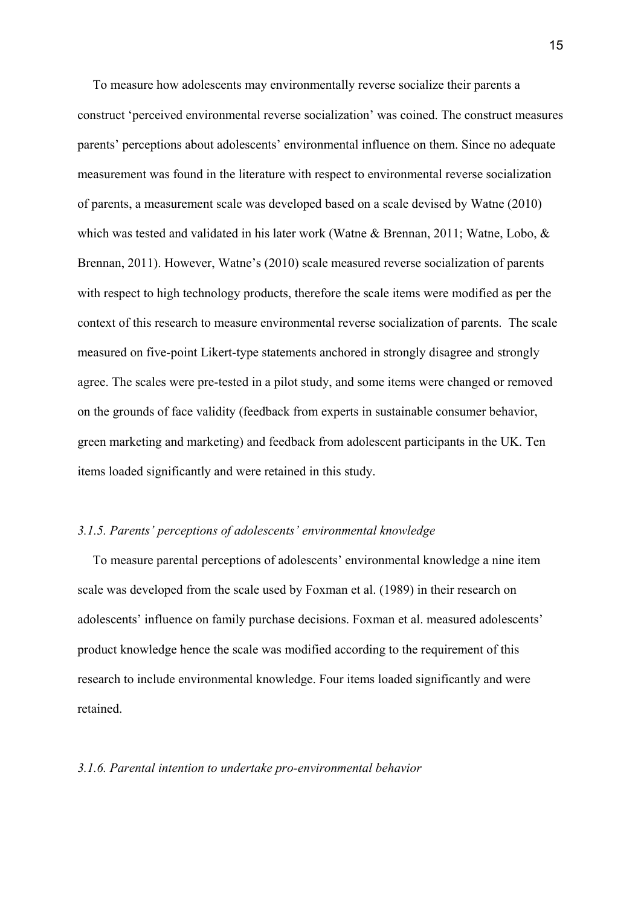To measure how adolescents may environmentally reverse socialize their parents a construct 'perceived environmental reverse socialization' was coined. The construct measures parents' perceptions about adolescents' environmental influence on them. Since no adequate measurement was found in the literature with respect to environmental reverse socialization of parents, a measurement scale was developed based on a scale devised by Watne (2010) which was tested and validated in his later work (Watne & Brennan, 2011; Watne, Lobo, & Brennan, 2011). However, Watne's (2010) scale measured reverse socialization of parents with respect to high technology products, therefore the scale items were modified as per the context of this research to measure environmental reverse socialization of parents. The scale measured on five-point Likert-type statements anchored in strongly disagree and strongly agree. The scales were pre-tested in a pilot study, and some items were changed or removed on the grounds of face validity (feedback from experts in sustainable consumer behavior, green marketing and marketing) and feedback from adolescent participants in the UK. Ten items loaded significantly and were retained in this study.

#### *3.1.5. Parents' perceptions of adolescents' environmental knowledge*

To measure parental perceptions of adolescents' environmental knowledge a nine item scale was developed from the scale used by Foxman et al. (1989) in their research on adolescents' influence on family purchase decisions. Foxman et al. measured adolescents' product knowledge hence the scale was modified according to the requirement of this research to include environmental knowledge. Four items loaded significantly and were retained.

#### *3.1.6. Parental intention to undertake pro-environmental behavior*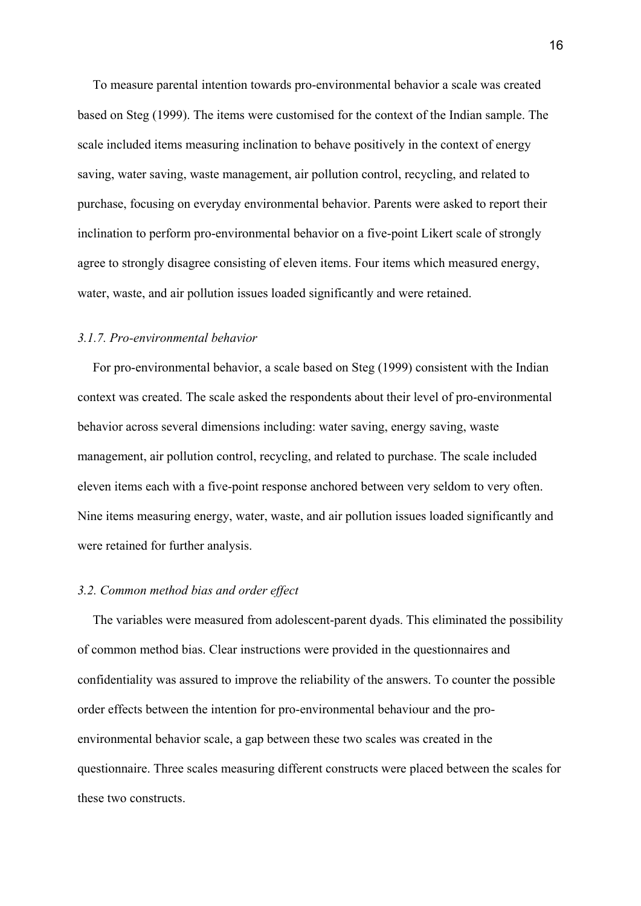To measure parental intention towards pro-environmental behavior a scale was created based on Steg (1999). The items were customised for the context of the Indian sample. The scale included items measuring inclination to behave positively in the context of energy saving, water saving, waste management, air pollution control, recycling, and related to purchase, focusing on everyday environmental behavior. Parents were asked to report their inclination to perform pro-environmental behavior on a five-point Likert scale of strongly agree to strongly disagree consisting of eleven items. Four items which measured energy, water, waste, and air pollution issues loaded significantly and were retained.

#### *3.1.7. Pro-environmental behavior*

For pro-environmental behavior, a scale based on Steg (1999) consistent with the Indian context was created. The scale asked the respondents about their level of pro-environmental behavior across several dimensions including: water saving, energy saving, waste management, air pollution control, recycling, and related to purchase. The scale included eleven items each with a five-point response anchored between very seldom to very often. Nine items measuring energy, water, waste, and air pollution issues loaded significantly and were retained for further analysis.

#### *3.2. Common method bias and order effect*

The variables were measured from adolescent-parent dyads. This eliminated the possibility of common method bias. Clear instructions were provided in the questionnaires and confidentiality was assured to improve the reliability of the answers. To counter the possible order effects between the intention for pro-environmental behaviour and the proenvironmental behavior scale, a gap between these two scales was created in the questionnaire. Three scales measuring different constructs were placed between the scales for these two constructs.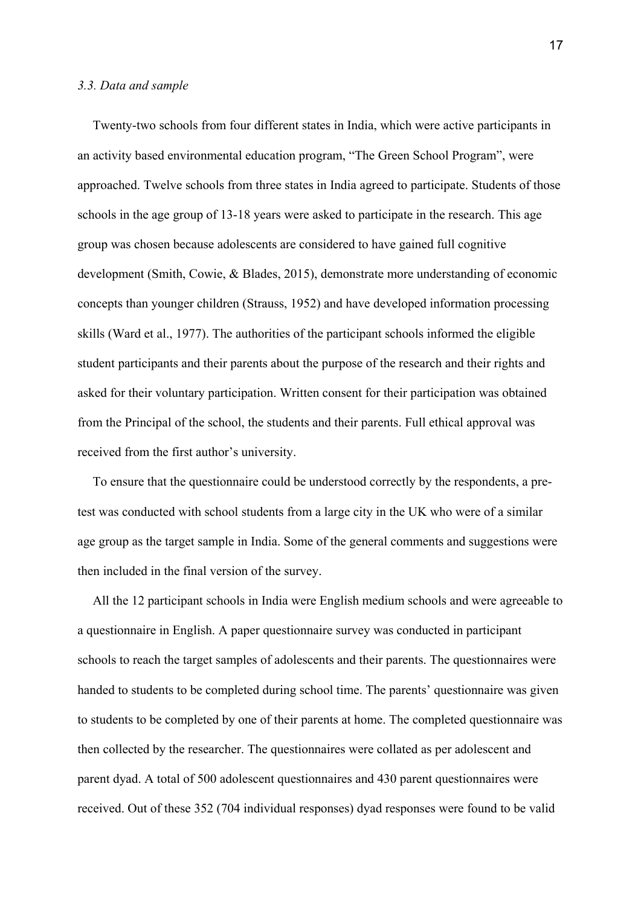#### *3.3. Data and sample*

Twenty-two schools from four different states in India, which were active participants in an activity based environmental education program, "The Green School Program", were approached. Twelve schools from three states in India agreed to participate. Students of those schools in the age group of 13-18 years were asked to participate in the research. This age group was chosen because adolescents are considered to have gained full cognitive development (Smith, Cowie, & Blades, 2015), demonstrate more understanding of economic concepts than younger children (Strauss, 1952) and have developed information processing skills (Ward et al., 1977). The authorities of the participant schools informed the eligible student participants and their parents about the purpose of the research and their rights and asked for their voluntary participation. Written consent for their participation was obtained from the Principal of the school, the students and their parents. Full ethical approval was received from the first author's university.

To ensure that the questionnaire could be understood correctly by the respondents, a pretest was conducted with school students from a large city in the UK who were of a similar age group as the target sample in India. Some of the general comments and suggestions were then included in the final version of the survey.

All the 12 participant schools in India were English medium schools and were agreeable to a questionnaire in English. A paper questionnaire survey was conducted in participant schools to reach the target samples of adolescents and their parents. The questionnaires were handed to students to be completed during school time. The parents' questionnaire was given to students to be completed by one of their parents at home. The completed questionnaire was then collected by the researcher. The questionnaires were collated as per adolescent and parent dyad. A total of 500 adolescent questionnaires and 430 parent questionnaires were received. Out of these 352 (704 individual responses) dyad responses were found to be valid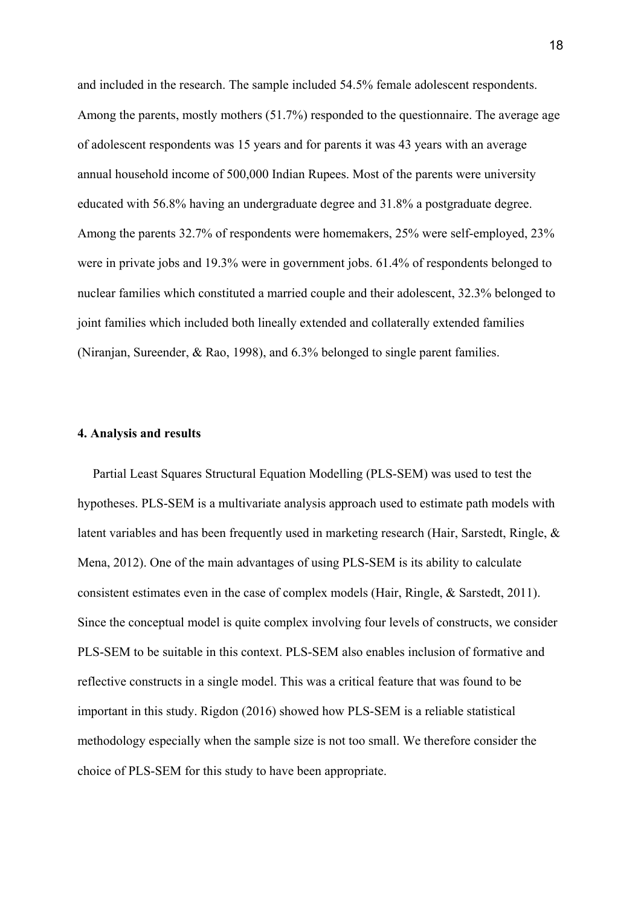and included in the research. The sample included 54.5% female adolescent respondents. Among the parents, mostly mothers (51.7%) responded to the questionnaire. The average age of adolescent respondents was 15 years and for parents it was 43 years with an average annual household income of 500,000 Indian Rupees. Most of the parents were university educated with 56.8% having an undergraduate degree and 31.8% a postgraduate degree. Among the parents 32.7% of respondents were homemakers, 25% were self-employed, 23% were in private jobs and 19.3% were in government jobs. 61.4% of respondents belonged to nuclear families which constituted a married couple and their adolescent, 32.3% belonged to joint families which included both lineally extended and collaterally extended families (Niranjan, Sureender, & Rao, 1998), and 6.3% belonged to single parent families.

#### **4. Analysis and results**

Partial Least Squares Structural Equation Modelling (PLS-SEM) was used to test the hypotheses. PLS-SEM is a multivariate analysis approach used to estimate path models with latent variables and has been frequently used in marketing research (Hair, Sarstedt, Ringle, & Mena, 2012). One of the main advantages of using PLS-SEM is its ability to calculate consistent estimates even in the case of complex models (Hair, Ringle, & Sarstedt, 2011). Since the conceptual model is quite complex involving four levels of constructs, we consider PLS-SEM to be suitable in this context. PLS-SEM also enables inclusion of formative and reflective constructs in a single model. This was a critical feature that was found to be important in this study. Rigdon (2016) showed how PLS-SEM is a reliable statistical methodology especially when the sample size is not too small. We therefore consider the choice of PLS-SEM for this study to have been appropriate.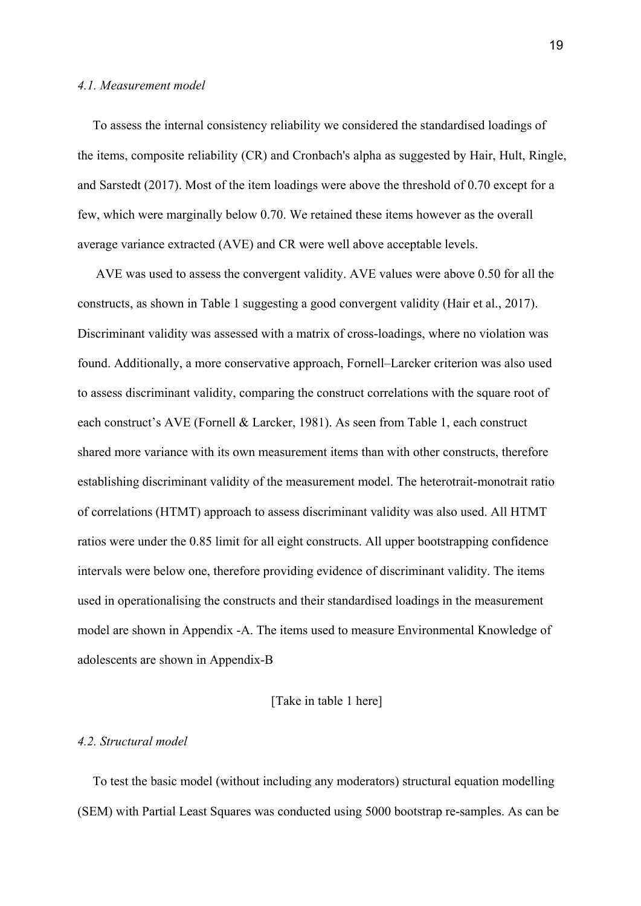#### *4.1. Measurement model*

To assess the internal consistency reliability we considered the standardised loadings of the items, composite reliability (CR) and Cronbach's alpha as suggested by Hair, Hult, Ringle, and Sarstedt (2017). Most of the item loadings were above the threshold of 0.70 except for a few, which were marginally below 0.70. We retained these items however as the overall average variance extracted (AVE) and CR were well above acceptable levels.

AVE was used to assess the convergent validity. AVE values were above 0.50 for all the constructs, as shown in Table 1 suggesting a good convergent validity (Hair et al., 2017). Discriminant validity was assessed with a matrix of cross-loadings, where no violation was found. Additionally, a more conservative approach, Fornell–Larcker criterion was also used to assess discriminant validity, comparing the construct correlations with the square root of each construct's AVE (Fornell & Larcker, 1981). As seen from Table 1, each construct shared more variance with its own measurement items than with other constructs, therefore establishing discriminant validity of the measurement model. The heterotrait-monotrait ratio of correlations (HTMT) approach to assess discriminant validity was also used. All HTMT ratios were under the 0.85 limit for all eight constructs. All upper bootstrapping confidence intervals were below one, therefore providing evidence of discriminant validity. The items used in operationalising the constructs and their standardised loadings in the measurement model are shown in Appendix -A. The items used to measure Environmental Knowledge of adolescents are shown in Appendix-B

## [Take in table 1 here]

## *4.2. Structural model*

To test the basic model (without including any moderators) structural equation modelling (SEM) with Partial Least Squares was conducted using 5000 bootstrap re-samples. As can be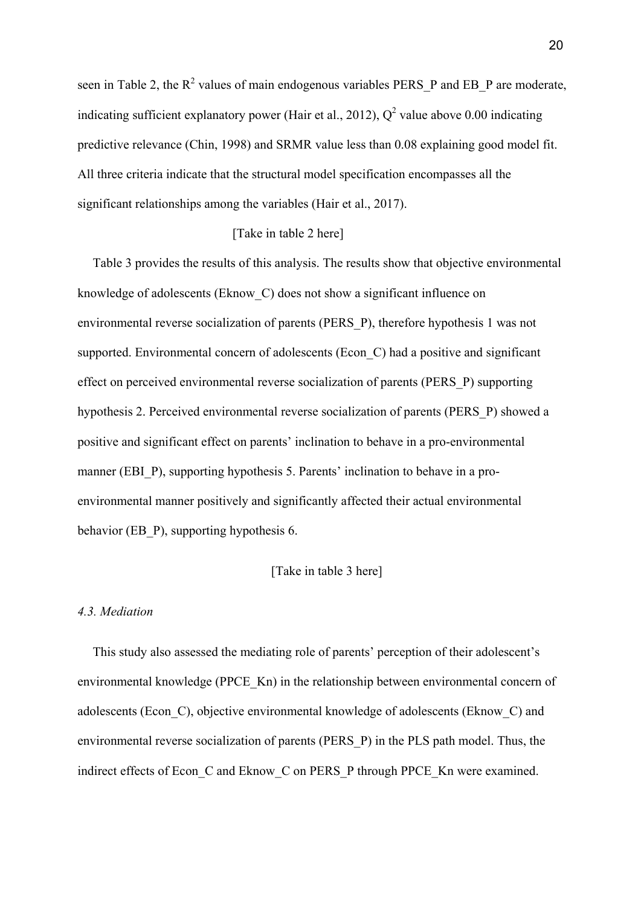seen in Table 2, the  $R^2$  values of main endogenous variables PERS P and EB P are moderate, indicating sufficient explanatory power (Hair et al., 2012),  $Q^2$  value above 0.00 indicating predictive relevance (Chin, 1998) and SRMR value less than 0.08 explaining good model fit. All three criteria indicate that the structural model specification encompasses all the significant relationships among the variables (Hair et al., 2017).

## [Take in table 2 here]

Table 3 provides the results of this analysis. The results show that objective environmental knowledge of adolescents (Eknow\_C) does not show a significant influence on environmental reverse socialization of parents (PERS\_P), therefore hypothesis 1 was not supported. Environmental concern of adolescents (Econ C) had a positive and significant effect on perceived environmental reverse socialization of parents (PERS\_P) supporting hypothesis 2. Perceived environmental reverse socialization of parents (PERS\_P) showed a positive and significant effect on parents' inclination to behave in a pro-environmental manner (EBI\_P), supporting hypothesis 5. Parents' inclination to behave in a proenvironmental manner positively and significantly affected their actual environmental behavior (EB\_P), supporting hypothesis 6.

## [Take in table 3 here]

### *4.3. Mediation*

This study also assessed the mediating role of parents' perception of their adolescent's environmental knowledge (PPCE\_Kn) in the relationship between environmental concern of adolescents (Econ\_C), objective environmental knowledge of adolescents (Eknow\_C) and environmental reverse socialization of parents (PERS\_P) in the PLS path model. Thus, the indirect effects of Econ C and Eknow C on PERS P through PPCE Kn were examined.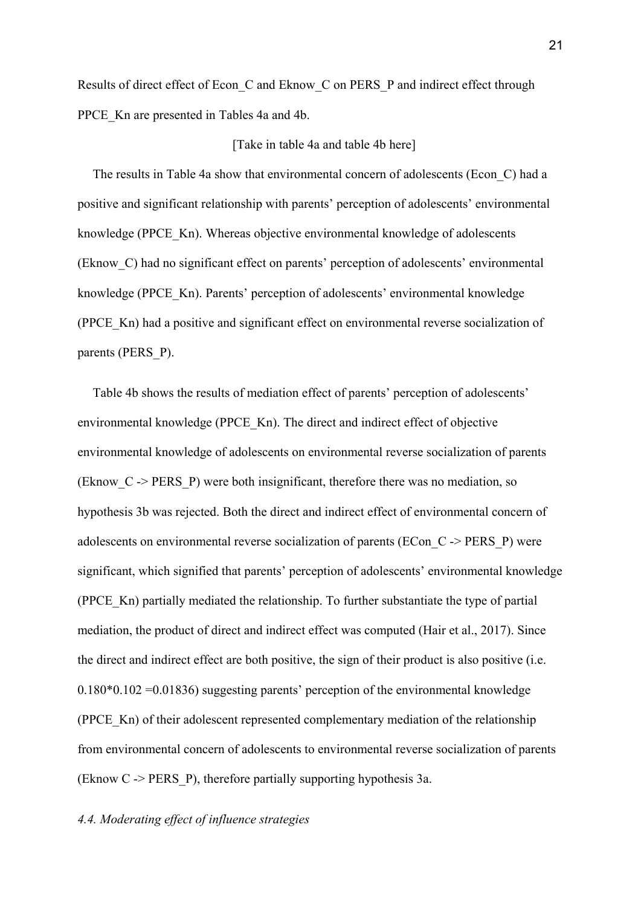Results of direct effect of Econ\_C and Eknow\_C on PERS\_P and indirect effect through PPCE Kn are presented in Tables 4a and 4b.

#### [Take in table 4a and table 4b here]

The results in Table 4a show that environmental concern of adolescents (Econ\_C) had a positive and significant relationship with parents' perception of adolescents' environmental knowledge (PPCE\_Kn). Whereas objective environmental knowledge of adolescents (Eknow\_C) had no significant effect on parents' perception of adolescents' environmental knowledge (PPCE\_Kn). Parents' perception of adolescents' environmental knowledge (PPCE\_Kn) had a positive and significant effect on environmental reverse socialization of parents (PERS\_P).

Table 4b shows the results of mediation effect of parents' perception of adolescents' environmental knowledge (PPCE\_Kn). The direct and indirect effect of objective environmental knowledge of adolescents on environmental reverse socialization of parents (Eknow\_C -> PERS\_P) were both insignificant, therefore there was no mediation, so hypothesis 3b was rejected. Both the direct and indirect effect of environmental concern of adolescents on environmental reverse socialization of parents (ECon\_C -> PERS\_P) were significant, which signified that parents' perception of adolescents' environmental knowledge (PPCE\_Kn) partially mediated the relationship. To further substantiate the type of partial mediation, the product of direct and indirect effect was computed (Hair et al., 2017). Since the direct and indirect effect are both positive, the sign of their product is also positive (i.e. 0.180\*0.102 =0.01836) suggesting parents' perception of the environmental knowledge (PPCE\_Kn) of their adolescent represented complementary mediation of the relationship from environmental concern of adolescents to environmental reverse socialization of parents (Eknow  $C \rightarrow PERS$  P), therefore partially supporting hypothesis 3a.

## *4.4. Moderating effect of influence strategies*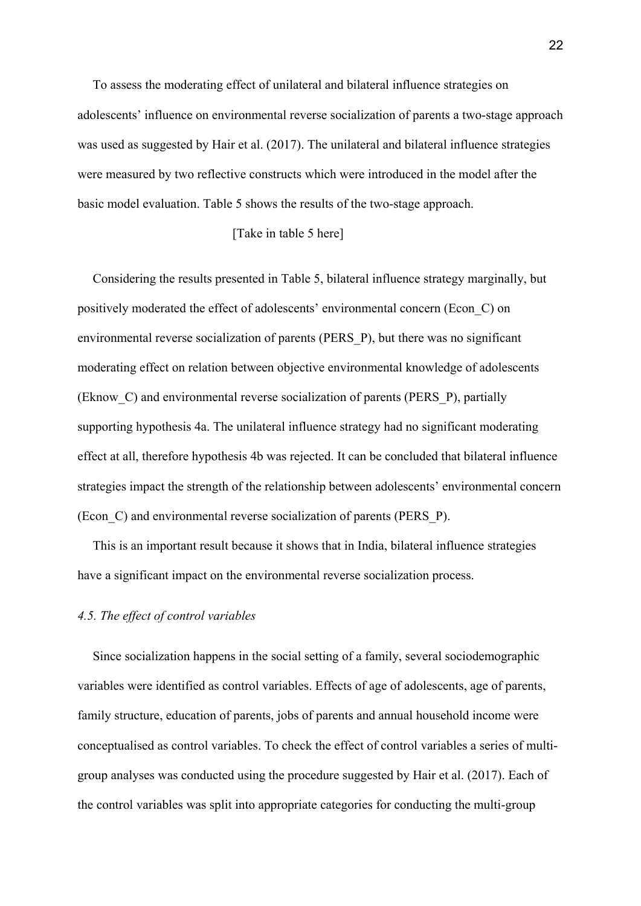To assess the moderating effect of unilateral and bilateral influence strategies on adolescents' influence on environmental reverse socialization of parents a two-stage approach was used as suggested by Hair et al. (2017). The unilateral and bilateral influence strategies were measured by two reflective constructs which were introduced in the model after the basic model evaluation. Table 5 shows the results of the two-stage approach.

## [Take in table 5 here]

Considering the results presented in Table 5, bilateral influence strategy marginally, but positively moderated the effect of adolescents' environmental concern (Econ\_C) on environmental reverse socialization of parents (PERS\_P), but there was no significant moderating effect on relation between objective environmental knowledge of adolescents (Eknow\_C) and environmental reverse socialization of parents (PERS\_P), partially supporting hypothesis 4a. The unilateral influence strategy had no significant moderating effect at all, therefore hypothesis 4b was rejected. It can be concluded that bilateral influence strategies impact the strength of the relationship between adolescents' environmental concern (Econ\_C) and environmental reverse socialization of parents (PERS\_P).

This is an important result because it shows that in India, bilateral influence strategies have a significant impact on the environmental reverse socialization process.

## *4.5. The effect of control variables*

Since socialization happens in the social setting of a family, several sociodemographic variables were identified as control variables. Effects of age of adolescents, age of parents, family structure, education of parents, jobs of parents and annual household income were conceptualised as control variables. To check the effect of control variables a series of multigroup analyses was conducted using the procedure suggested by Hair et al. (2017). Each of the control variables was split into appropriate categories for conducting the multi-group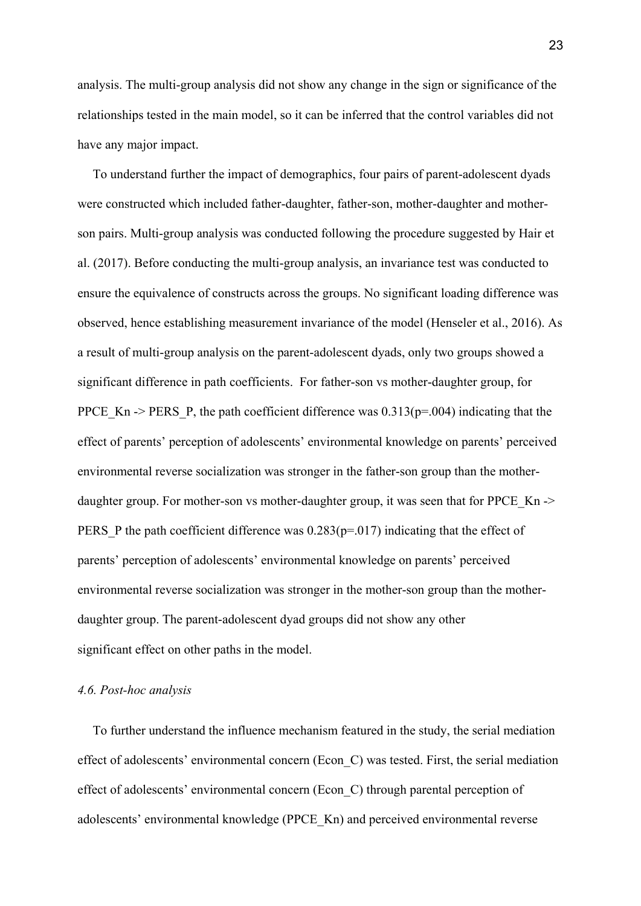analysis. The multi-group analysis did not show any change in the sign or significance of the relationships tested in the main model, so it can be inferred that the control variables did not have any major impact.

To understand further the impact of demographics, four pairs of parent-adolescent dyads were constructed which included father-daughter, father-son, mother-daughter and motherson pairs. Multi-group analysis was conducted following the procedure suggested by Hair et al. (2017). Before conducting the multi-group analysis, an invariance test was conducted to ensure the equivalence of constructs across the groups. No significant loading difference was observed, hence establishing measurement invariance of the model (Henseler et al., 2016). As a result of multi-group analysis on the parent-adolescent dyads, only two groups showed a significant difference in path coefficients. For father-son vs mother-daughter group, for PPCE Kn -> PERS P, the path coefficient difference was  $0.313(p=.004)$  indicating that the effect of parents' perception of adolescents' environmental knowledge on parents' perceived environmental reverse socialization was stronger in the father-son group than the motherdaughter group. For mother-son vs mother-daughter group, it was seen that for PPCE Kn -> PERS P the path coefficient difference was  $0.283(p=0.017)$  indicating that the effect of parents' perception of adolescents' environmental knowledge on parents' perceived environmental reverse socialization was stronger in the mother-son group than the motherdaughter group. The parent-adolescent dyad groups did not show any other significant effect on other paths in the model.

#### *4.6. Post-hoc analysis*

To further understand the influence mechanism featured in the study, the serial mediation effect of adolescents' environmental concern (Econ\_C) was tested. First, the serial mediation effect of adolescents' environmental concern (Econ\_C) through parental perception of adolescents' environmental knowledge (PPCE\_Kn) and perceived environmental reverse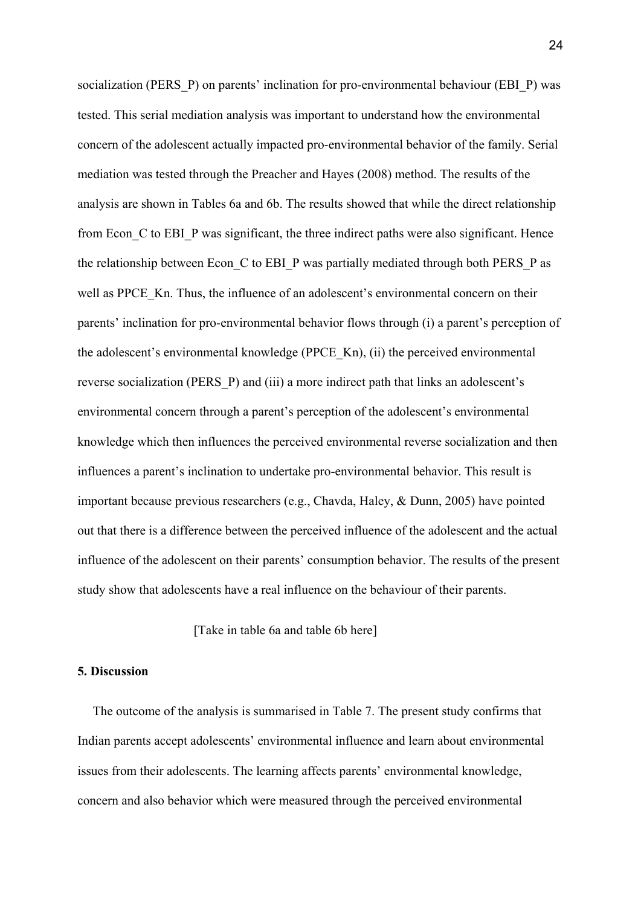socialization (PERS P) on parents' inclination for pro-environmental behaviour (EBI P) was tested. This serial mediation analysis was important to understand how the environmental concern of the adolescent actually impacted pro-environmental behavior of the family. Serial mediation was tested through the Preacher and Hayes (2008) method. The results of the analysis are shown in Tables 6a and 6b. The results showed that while the direct relationship from Econ C to EBI P was significant, the three indirect paths were also significant. Hence the relationship between Econ C to EBI P was partially mediated through both PERS P as well as PPCE Kn. Thus, the influence of an adolescent's environmental concern on their parents' inclination for pro-environmental behavior flows through (i) a parent's perception of the adolescent's environmental knowledge (PPCE\_Kn), (ii) the perceived environmental reverse socialization (PERS\_P) and (iii) a more indirect path that links an adolescent's environmental concern through a parent's perception of the adolescent's environmental knowledge which then influences the perceived environmental reverse socialization and then influences a parent's inclination to undertake pro-environmental behavior. This result is important because previous researchers (e.g., Chavda, Haley, & Dunn, 2005) have pointed out that there is a difference between the perceived influence of the adolescent and the actual influence of the adolescent on their parents' consumption behavior. The results of the present study show that adolescents have a real influence on the behaviour of their parents.

[Take in table 6a and table 6b here]

#### **5. Discussion**

The outcome of the analysis is summarised in Table 7. The present study confirms that Indian parents accept adolescents' environmental influence and learn about environmental issues from their adolescents. The learning affects parents' environmental knowledge, concern and also behavior which were measured through the perceived environmental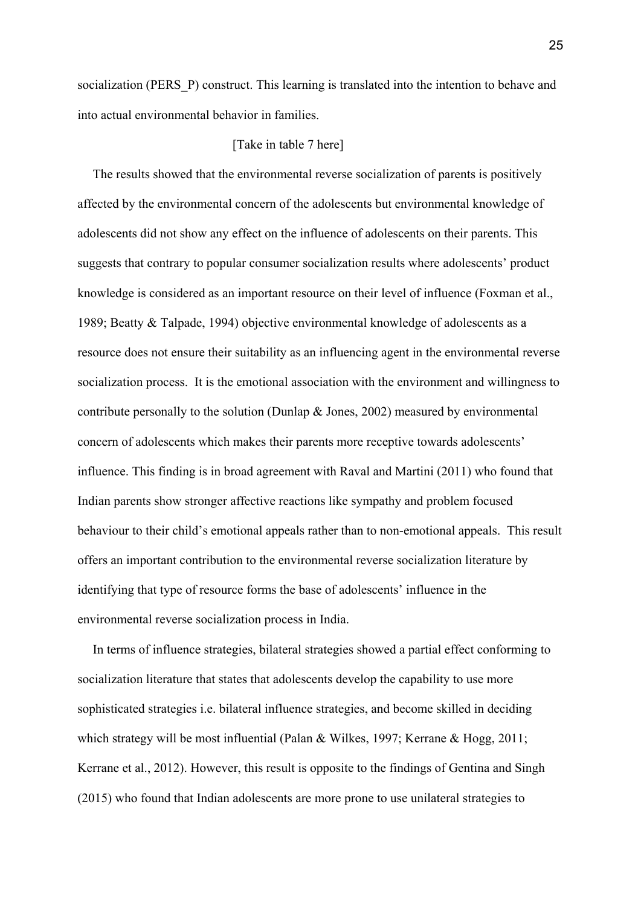socialization (PERS P) construct. This learning is translated into the intention to behave and into actual environmental behavior in families.

#### [Take in table 7 here]

The results showed that the environmental reverse socialization of parents is positively affected by the environmental concern of the adolescents but environmental knowledge of adolescents did not show any effect on the influence of adolescents on their parents. This suggests that contrary to popular consumer socialization results where adolescents' product knowledge is considered as an important resource on their level of influence (Foxman et al., 1989; Beatty & Talpade, 1994) objective environmental knowledge of adolescents as a resource does not ensure their suitability as an influencing agent in the environmental reverse socialization process. It is the emotional association with the environment and willingness to contribute personally to the solution (Dunlap & Jones, 2002) measured by environmental concern of adolescents which makes their parents more receptive towards adolescents' influence. This finding is in broad agreement with Raval and Martini (2011) who found that Indian parents show stronger affective reactions like sympathy and problem focused behaviour to their child's emotional appeals rather than to non-emotional appeals. This result offers an important contribution to the environmental reverse socialization literature by identifying that type of resource forms the base of adolescents' influence in the environmental reverse socialization process in India.

In terms of influence strategies, bilateral strategies showed a partial effect conforming to socialization literature that states that adolescents develop the capability to use more sophisticated strategies i.e. bilateral influence strategies, and become skilled in deciding which strategy will be most influential (Palan & Wilkes, 1997; Kerrane & Hogg, 2011; Kerrane et al., 2012). However, this result is opposite to the findings of Gentina and Singh (2015) who found that Indian adolescents are more prone to use unilateral strategies to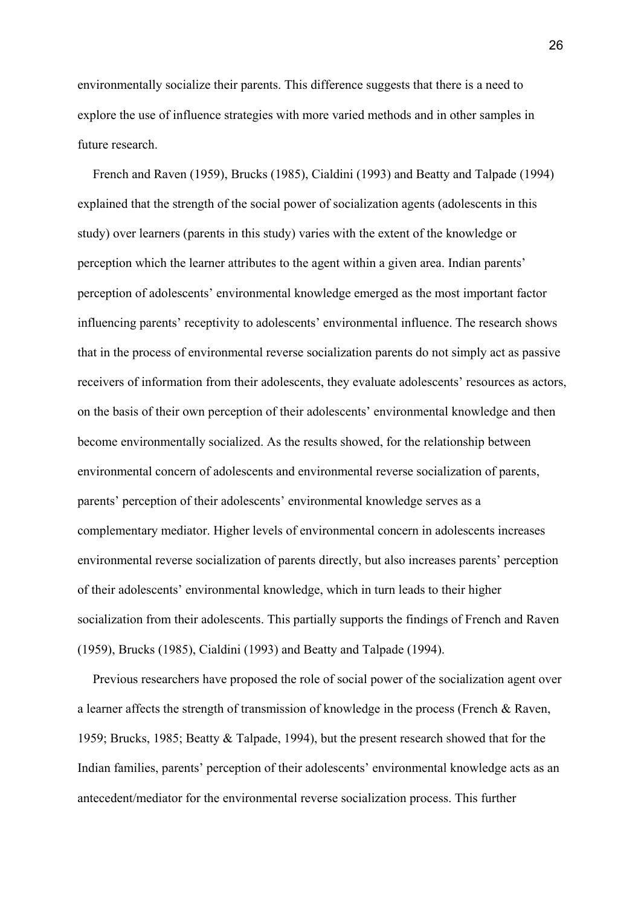environmentally socialize their parents. This difference suggests that there is a need to explore the use of influence strategies with more varied methods and in other samples in future research.

French and Raven (1959), Brucks (1985), Cialdini (1993) and Beatty and Talpade (1994) explained that the strength of the social power of socialization agents (adolescents in this study) over learners (parents in this study) varies with the extent of the knowledge or perception which the learner attributes to the agent within a given area. Indian parents' perception of adolescents' environmental knowledge emerged as the most important factor influencing parents' receptivity to adolescents' environmental influence. The research shows that in the process of environmental reverse socialization parents do not simply act as passive receivers of information from their adolescents, they evaluate adolescents' resources as actors, on the basis of their own perception of their adolescents' environmental knowledge and then become environmentally socialized. As the results showed, for the relationship between environmental concern of adolescents and environmental reverse socialization of parents, parents' perception of their adolescents' environmental knowledge serves as a complementary mediator. Higher levels of environmental concern in adolescents increases environmental reverse socialization of parents directly, but also increases parents' perception of their adolescents' environmental knowledge, which in turn leads to their higher socialization from their adolescents. This partially supports the findings of French and Raven (1959), Brucks (1985), Cialdini (1993) and Beatty and Talpade (1994).

Previous researchers have proposed the role of social power of the socialization agent over a learner affects the strength of transmission of knowledge in the process (French & Raven, 1959; Brucks, 1985; Beatty & Talpade, 1994), but the present research showed that for the Indian families, parents' perception of their adolescents' environmental knowledge acts as an antecedent/mediator for the environmental reverse socialization process. This further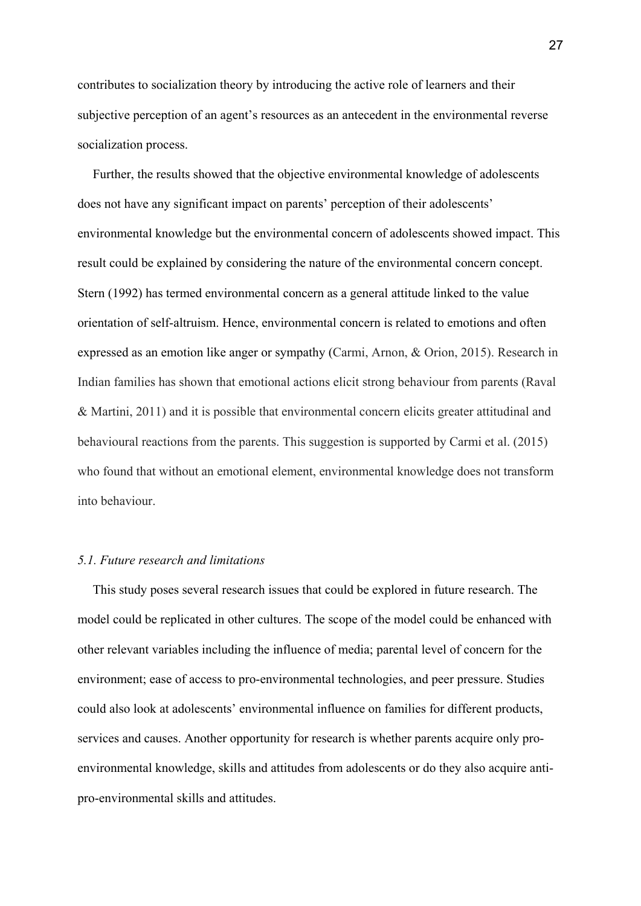contributes to socialization theory by introducing the active role of learners and their subjective perception of an agent's resources as an antecedent in the environmental reverse socialization process.

Further, the results showed that the objective environmental knowledge of adolescents does not have any significant impact on parents' perception of their adolescents' environmental knowledge but the environmental concern of adolescents showed impact. This result could be explained by considering the nature of the environmental concern concept. Stern (1992) has termed environmental concern as a general attitude linked to the value orientation of self-altruism. Hence, environmental concern is related to emotions and often expressed as an emotion like anger or sympathy (Carmi, Arnon, & Orion, 2015). Research in Indian families has shown that emotional actions elicit strong behaviour from parents (Raval & Martini, 2011) and it is possible that environmental concern elicits greater attitudinal and behavioural reactions from the parents. This suggestion is supported by Carmi et al. (2015) who found that without an emotional element, environmental knowledge does not transform into behaviour.

## *5.1. Future research and limitations*

This study poses several research issues that could be explored in future research. The model could be replicated in other cultures. The scope of the model could be enhanced with other relevant variables including the influence of media; parental level of concern for the environment; ease of access to pro-environmental technologies, and peer pressure. Studies could also look at adolescents' environmental influence on families for different products, services and causes. Another opportunity for research is whether parents acquire only proenvironmental knowledge, skills and attitudes from adolescents or do they also acquire antipro-environmental skills and attitudes.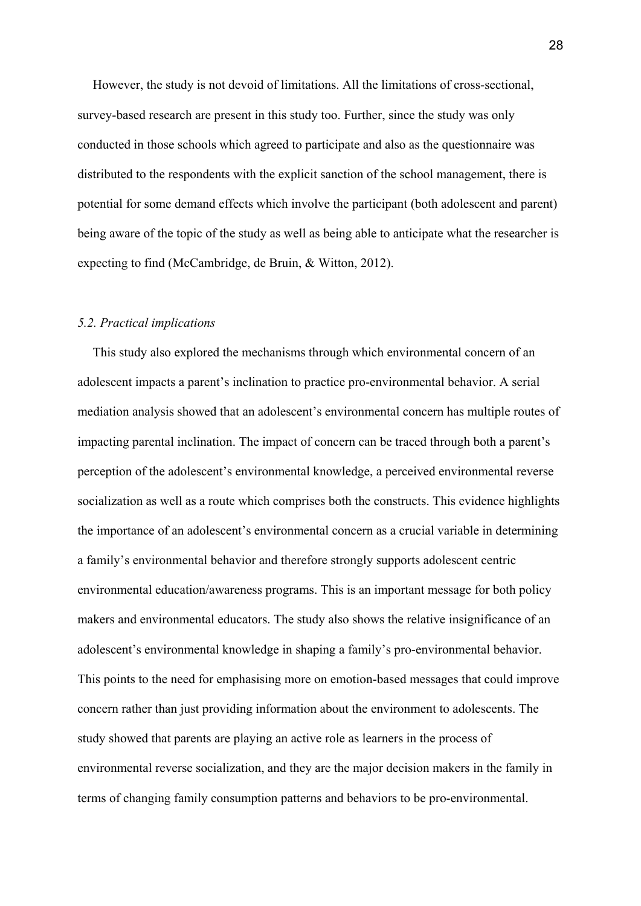However, the study is not devoid of limitations. All the limitations of cross-sectional, survey-based research are present in this study too. Further, since the study was only conducted in those schools which agreed to participate and also as the questionnaire was distributed to the respondents with the explicit sanction of the school management, there is potential for some demand effects which involve the participant (both adolescent and parent) being aware of the topic of the study as well as being able to anticipate what the researcher is expecting to find (McCambridge, de Bruin, & Witton, 2012).

#### *5.2. Practical implications*

This study also explored the mechanisms through which environmental concern of an adolescent impacts a parent's inclination to practice pro-environmental behavior. A serial mediation analysis showed that an adolescent's environmental concern has multiple routes of impacting parental inclination. The impact of concern can be traced through both a parent's perception of the adolescent's environmental knowledge, a perceived environmental reverse socialization as well as a route which comprises both the constructs. This evidence highlights the importance of an adolescent's environmental concern as a crucial variable in determining a family's environmental behavior and therefore strongly supports adolescent centric environmental education/awareness programs. This is an important message for both policy makers and environmental educators. The study also shows the relative insignificance of an adolescent's environmental knowledge in shaping a family's pro-environmental behavior. This points to the need for emphasising more on emotion-based messages that could improve concern rather than just providing information about the environment to adolescents. The study showed that parents are playing an active role as learners in the process of environmental reverse socialization, and they are the major decision makers in the family in terms of changing family consumption patterns and behaviors to be pro-environmental.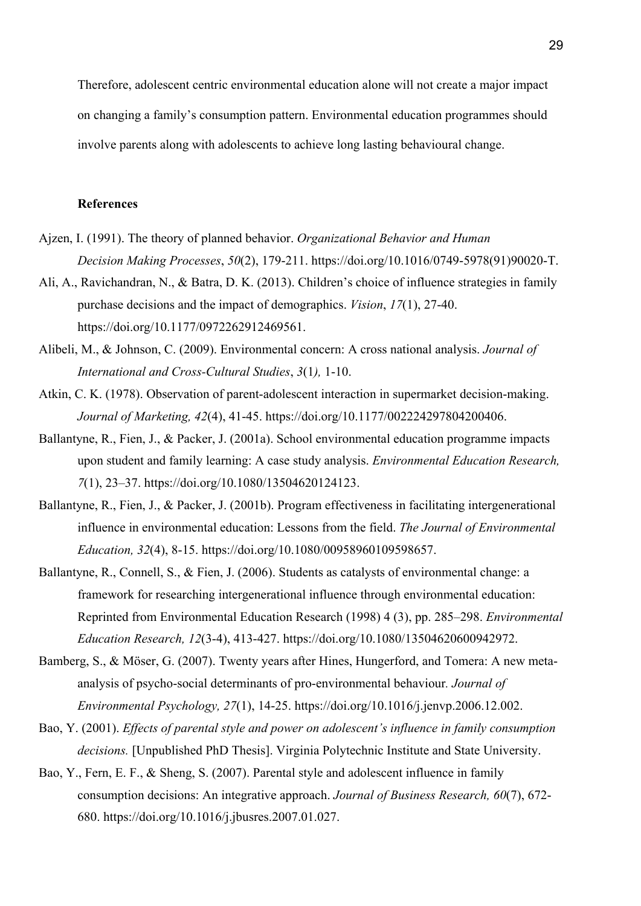Therefore, adolescent centric environmental education alone will not create a major impact on changing a family's consumption pattern. Environmental education programmes should involve parents along with adolescents to achieve long lasting behavioural change.

### **References**

- Ajzen, I. (1991). The theory of planned behavior. *Organizational Behavior and Human Decision Making Processes*, *50*(2), 179-211. https://doi.org/10.1016/0749-5978(91)90020-T.
- Ali, A., Ravichandran, N., & Batra, D. K. (2013). Children's choice of influence strategies in family purchase decisions and the impact of demographics. *Vision*, *17*(1), 27-40. https://doi.org/10.1177/0972262912469561.
- Alibeli, M., & Johnson, C. (2009). Environmental concern: A cross national analysis. *Journal of International and Cross-Cultural Studies*, *3*(1*),* 1-10.
- Atkin, C. K. (1978). Observation of parent-adolescent interaction in supermarket decision-making. *Journal of Marketing, 42*(4), 41-45. https://doi.org/10.1177/002224297804200406.
- Ballantyne, R., Fien, J., & Packer, J. (2001a). School environmental education programme impacts upon student and family learning: A case study analysis. *Environmental Education Research, 7*(1), 23–37. https://doi.org/10.1080/13504620124123.
- Ballantyne, R., Fien, J., & Packer, J. (2001b). Program effectiveness in facilitating intergenerational influence in environmental education: Lessons from the field. *The Journal of Environmental Education, 32*(4), 8-15. https://doi.org/10.1080/00958960109598657.
- Ballantyne, R., Connell, S., & Fien, J. (2006). Students as catalysts of environmental change: a framework for researching intergenerational influence through environmental education: Reprinted from Environmental Education Research (1998) 4 (3), pp. 285–298. *Environmental Education Research, 12*(3-4), 413-427. https://doi.org/10.1080/13504620600942972.
- Bamberg, S., & Möser, G. (2007). Twenty years after Hines, Hungerford, and Tomera: A new metaanalysis of psycho-social determinants of pro-environmental behaviour*. Journal of Environmental Psychology, 27*(1), 14-25. https://doi.org/10.1016/j.jenvp.2006.12.002.
- Bao, Y. (2001). *Effects of parental style and power on adolescent's influence in family consumption decisions.* [Unpublished PhD Thesis]. Virginia Polytechnic Institute and State University.
- Bao, Y., Fern, E. F., & Sheng, S. (2007). Parental style and adolescent influence in family consumption decisions: An integrative approach. *Journal of Business Research, 60*(7), 672- 680. https://doi.org/10.1016/j.jbusres.2007.01.027.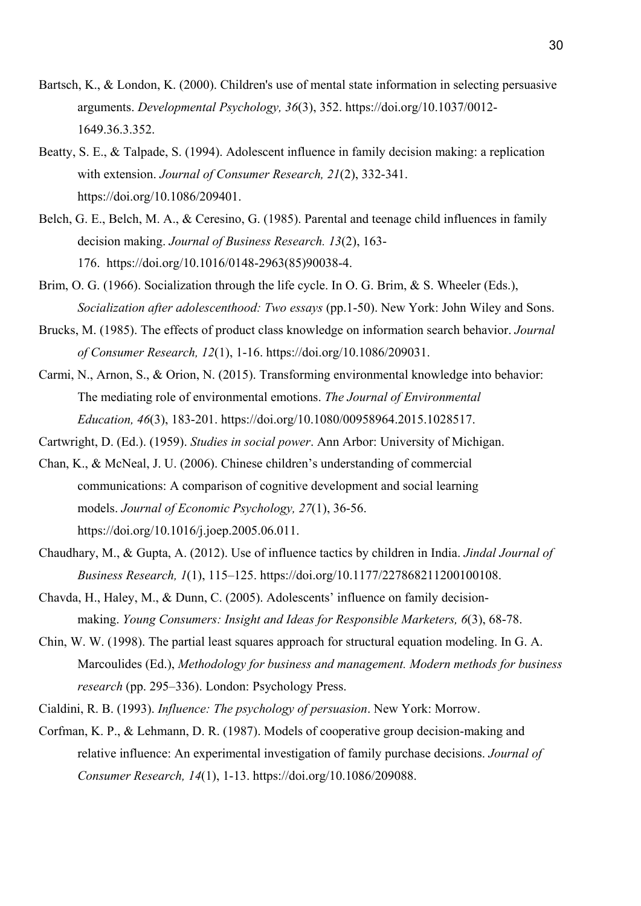- Bartsch, K., & London, K. (2000). Children's use of mental state information in selecting persuasive arguments. *Developmental Psychology, 36*(3), 352. https://doi.org/10.1037/0012- 1649.36.3.352.
- Beatty, S. E., & Talpade, S. (1994). Adolescent influence in family decision making: a replication with extension. *Journal of Consumer Research, 21*(2), 332-341. https://doi.org/10.1086/209401.
- Belch, G. E., Belch, M. A., & Ceresino, G. (1985). Parental and teenage child influences in family decision making. *Journal of Business Research. 13*(2), 163- 176. https://doi.org/10.1016/0148-2963(85)90038-4.
- Brim, O. G. (1966). Socialization through the life cycle. In O. G. Brim, & S. Wheeler (Eds.), *Socialization after adolescenthood: Two essays* (pp.1-50). New York: John Wiley and Sons.
- Brucks, M. (1985). The effects of product class knowledge on information search behavior. *Journal of Consumer Research, 12*(1), 1-16. https://doi.org/10.1086/209031.
- Carmi, N., Arnon, S., & Orion, N. (2015). Transforming environmental knowledge into behavior: The mediating role of environmental emotions. *The Journal of Environmental Education, 46*(3), 183-201. https://doi.org/10.1080/00958964.2015.1028517.
- Cartwright, D. (Ed.). (1959). *Studies in social power*. Ann Arbor: University of Michigan.
- Chan, K., & McNeal, J. U. (2006). Chinese children's understanding of commercial communications: A comparison of cognitive development and social learning models. *Journal of Economic Psychology, 27*(1), 36-56. https://doi.org/10.1016/j.joep.2005.06.011.
- Chaudhary, M., & Gupta, A. (2012). Use of influence tactics by children in India. *Jindal Journal of Business Research, 1*(1), 115–125. https://doi.org/10.1177/227868211200100108.
- Chavda, H., Haley, M., & Dunn, C. (2005). Adolescents' influence on family decisionmaking. *Young Consumers: Insight and Ideas for Responsible Marketers, 6*(3), 68-78.
- Chin, W. W. (1998). The partial least squares approach for structural equation modeling. In G. A. Marcoulides (Ed.), *Methodology for business and management. Modern methods for business research* (pp. 295–336). London: Psychology Press.
- Cialdini, R. B. (1993). *Influence: The psychology of persuasion*. New York: Morrow.
- Corfman, K. P., & Lehmann, D. R. (1987). Models of cooperative group decision-making and relative influence: An experimental investigation of family purchase decisions. *Journal of Consumer Research, 14*(1), 1-13. https://doi.org/10.1086/209088.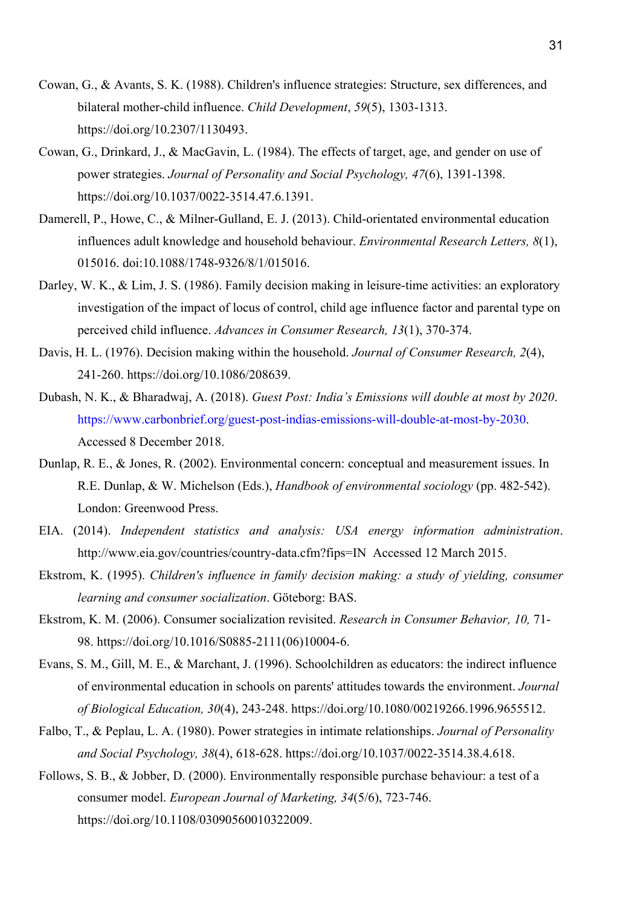- Cowan, G., & Avants, S. K. (1988). Children's influence strategies: Structure, sex differences, and bilateral mother-child influence. *Child Development*, *59*(5), 1303-1313. https://doi.org/10.2307/1130493.
- Cowan, G., Drinkard, J., & MacGavin, L. (1984). The effects of target, age, and gender on use of power strategies. *Journal of Personality and Social Psychology, 47*(6), 1391-1398. https://doi.org/10.1037/0022-3514.47.6.1391.
- Damerell, P., Howe, C., & Milner-Gulland, E. J. (2013). Child-orientated environmental education influences adult knowledge and household behaviour. *Environmental Research Letters, 8*(1), 015016. doi:10.1088/1748-9326/8/1/015016.
- Darley, W. K., & Lim, J. S. (1986). Family decision making in leisure-time activities: an exploratory investigation of the impact of locus of control, child age influence factor and parental type on perceived child influence. *Advances in Consumer Research, 13*(1), 370-374.
- Davis, H. L. (1976). Decision making within the household. *Journal of Consumer Research, 2*(4), 241-260. https://doi.org/10.1086/208639.
- Dubash, N. K., & Bharadwaj, A. (2018). *Guest Post: India's Emissions will double at most by 2020*. https://www.carbonbrief.org/guest-post-indias-emissions-will-double-at-most-by-2030. Accessed 8 December 2018.
- Dunlap, R. E., & Jones, R. (2002). Environmental concern: conceptual and measurement issues. In R.E. Dunlap, & W. Michelson (Eds.), *Handbook of environmental sociology* (pp. 482-542). London: Greenwood Press.
- EIA. (2014). *Independent statistics and analysis: USA energy information administration*. http://www.eia.gov/countries/country-data.cfm?fips=IN Accessed 12 March 2015.
- Ekstrom, K. (1995). *Children's influence in family decision making: a study of yielding, consumer learning and consumer socialization*. Göteborg: BAS.
- Ekstrom, K. M. (2006). Consumer socialization revisited. *Research in Consumer Behavior, 10,* 71- 98. https://doi.org/10.1016/S0885-2111(06)10004-6.
- Evans, S. M., Gill, M. E., & Marchant, J. (1996). Schoolchildren as educators: the indirect influence of environmental education in schools on parents' attitudes towards the environment. *Journal of Biological Education, 30*(4), 243-248. https://doi.org/10.1080/00219266.1996.9655512.
- Falbo, T., & Peplau, L. A. (1980). Power strategies in intimate relationships. *Journal of Personality and Social Psychology, 38*(4), 618-628. https://doi.org/10.1037/0022-3514.38.4.618.
- Follows, S. B., & Jobber, D. (2000). Environmentally responsible purchase behaviour: a test of a consumer model. *European Journal of Marketing, 34*(5/6), 723-746. https://doi.org/10.1108/03090560010322009.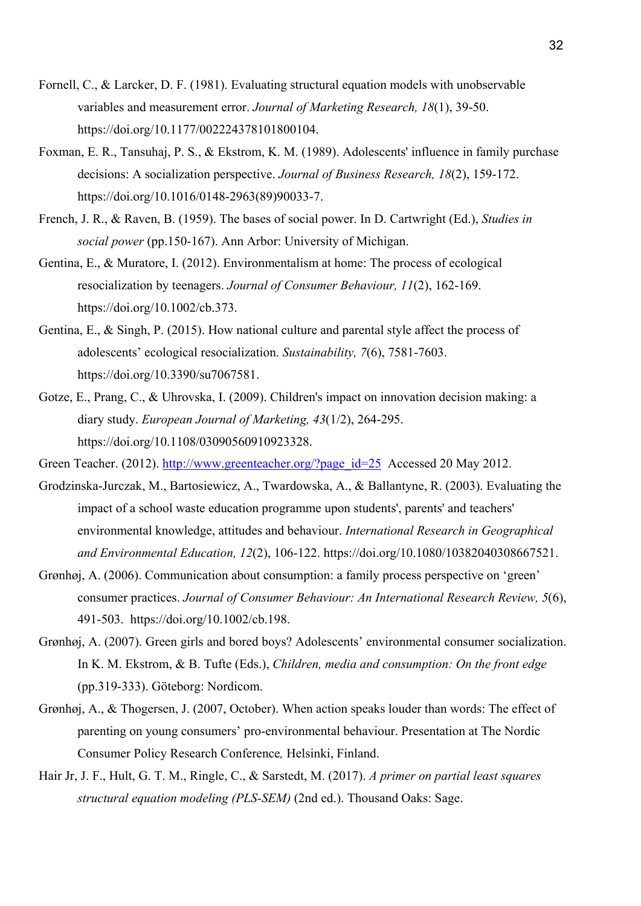- Fornell, C., & Larcker, D. F. (1981). Evaluating structural equation models with unobservable variables and measurement error. *Journal of Marketing Research, 18*(1), 39-50. https://doi.org/10.1177/002224378101800104.
- Foxman, E. R., Tansuhaj, P. S., & Ekstrom, K. M. (1989). Adolescents' influence in family purchase decisions: A socialization perspective. *Journal of Business Research, 18*(2), 159-172. https://doi.org/10.1016/0148-2963(89)90033-7.
- French, J. R., & Raven, B. (1959). The bases of social power. In D. Cartwright (Ed.), *Studies in social power* (pp.150-167). Ann Arbor: University of Michigan.
- Gentina, E., & Muratore, I. (2012). Environmentalism at home: The process of ecological resocialization by teenagers. *Journal of Consumer Behaviour, 11*(2), 162-169. https://doi.org/10.1002/cb.373.
- Gentina, E., & Singh, P. (2015). How national culture and parental style affect the process of adolescents' ecological resocialization. *Sustainability, 7*(6), 7581-7603. https://doi.org/10.3390/su7067581.
- Gotze, E., Prang, C., & Uhrovska, I. (2009). Children's impact on innovation decision making: a diary study. *European Journal of Marketing, 43*(1/2), 264-295. https://doi.org/10.1108/03090560910923328.
- Green Teacher. (2012). http://www.greenteacher.org/?page\_id=25 Accessed 20 May 2012.
- Grodzinska-Jurczak, M., Bartosiewicz, A., Twardowska, A., & Ballantyne, R. (2003). Evaluating the impact of a school waste education programme upon students', parents' and teachers' environmental knowledge, attitudes and behaviour. *International Research in Geographical and Environmental Education, 12*(2), 106-122. https://doi.org/10.1080/10382040308667521.
- Grønhøj, A. (2006). Communication about consumption: a family process perspective on 'green' consumer practices. *Journal of Consumer Behaviour: An International Research Review, 5*(6), 491-503. https://doi.org/10.1002/cb.198.
- Grønhøj, A. (2007). Green girls and bored boys? Adolescents' environmental consumer socialization. In K. M. Ekstrom, & B. Tufte (Eds.), *Children, media and consumption: On the front edge*  (pp.319-333). Göteborg: Nordicom.
- Grønhøj, A., & Thogersen, J. (2007, October). When action speaks louder than words: The effect of parenting on young consumers' pro-environmental behaviour. Presentation at The Nordic Consumer Policy Research Conference*,* Helsinki, Finland.
- Hair Jr, J. F., Hult, G. T. M., Ringle, C., & Sarstedt, M. (2017). *A primer on partial least squares structural equation modeling (PLS-SEM)* (2nd ed.). Thousand Oaks: Sage.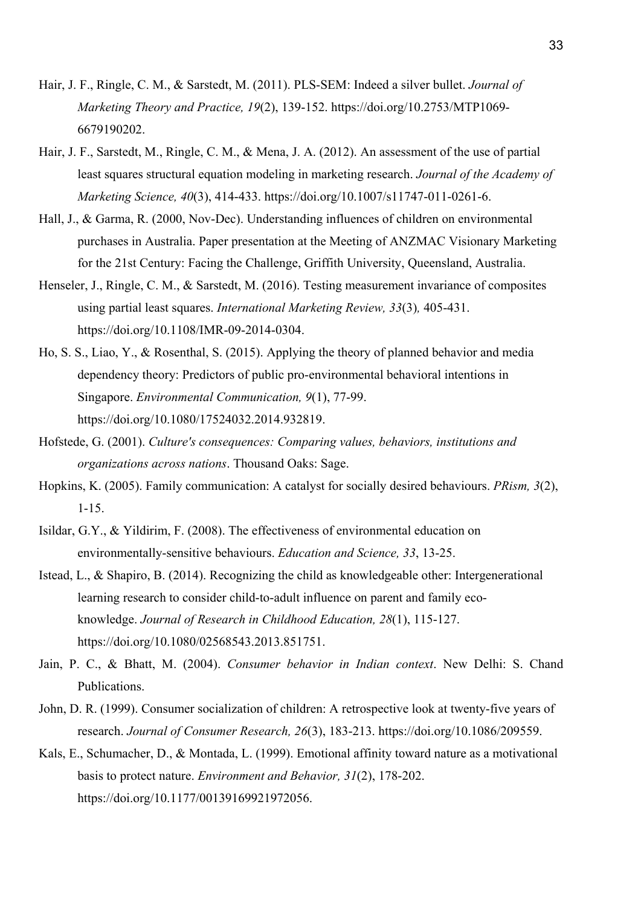- Hair, J. F., Ringle, C. M., & Sarstedt, M. (2011). PLS-SEM: Indeed a silver bullet. *Journal of Marketing Theory and Practice, 19*(2), 139-152. https://doi.org/10.2753/MTP1069- 6679190202.
- Hair, J. F., Sarstedt, M., Ringle, C. M., & Mena, J. A. (2012). An assessment of the use of partial least squares structural equation modeling in marketing research. *Journal of the Academy of Marketing Science, 40*(3), 414-433. https://doi.org/10.1007/s11747-011-0261-6.
- Hall, J., & Garma, R. (2000, Nov-Dec). Understanding influences of children on environmental purchases in Australia. Paper presentation at the Meeting of ANZMAC Visionary Marketing for the 21st Century: Facing the Challenge, Griffith University, Queensland, Australia.
- Henseler, J., Ringle, C. M., & Sarstedt, M. (2016). Testing measurement invariance of composites using partial least squares. *International Marketing Review, 33*(3)*,* 405-431. https://doi.org/10.1108/IMR-09-2014-0304.
- Ho, S. S., Liao, Y., & Rosenthal, S. (2015). Applying the theory of planned behavior and media dependency theory: Predictors of public pro-environmental behavioral intentions in Singapore. *Environmental Communication, 9*(1), 77-99. https://doi.org/10.1080/17524032.2014.932819.
- Hofstede, G. (2001). *Culture's consequences: Comparing values, behaviors, institutions and organizations across nations*. Thousand Oaks: Sage.
- Hopkins, K. (2005). Family communication: A catalyst for socially desired behaviours. *PRism, 3*(2), 1-15.
- Isildar, G.Y., & Yildirim, F. (2008). The effectiveness of environmental education on environmentally‐sensitive behaviours. *Education and Science, 33*, 13-25.
- Istead, L., & Shapiro, B. (2014). Recognizing the child as knowledgeable other: Intergenerational learning research to consider child-to-adult influence on parent and family ecoknowledge. *Journal of Research in Childhood Education, 28*(1), 115-127. https://doi.org/10.1080/02568543.2013.851751.
- Jain, P. C., & Bhatt, M. (2004). *Consumer behavior in Indian context*. New Delhi: S. Chand Publications.
- John, D. R. (1999). Consumer socialization of children: A retrospective look at twenty-five years of research. *Journal of Consumer Research, 26*(3), 183-213. https://doi.org/10.1086/209559.
- Kals, E., Schumacher, D., & Montada, L. (1999). Emotional affinity toward nature as a motivational basis to protect nature. *Environment and Behavior, 31*(2), 178-202. https://doi.org/10.1177/00139169921972056.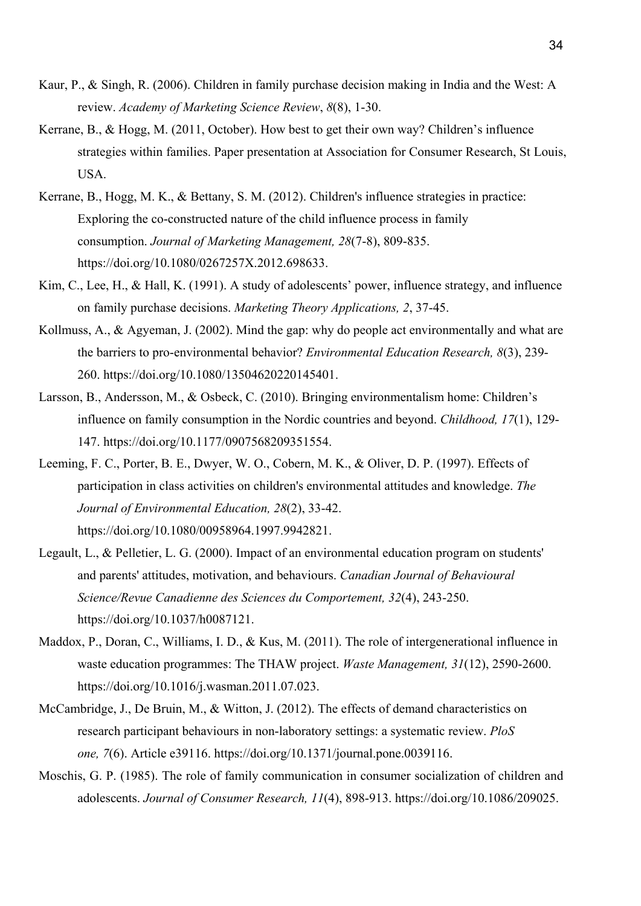- Kaur, P., & Singh, R. (2006). Children in family purchase decision making in India and the West: A review. *Academy of Marketing Science Review*, *8*(8), 1-30.
- Kerrane, B., & Hogg, M. (2011, October). How best to get their own way? Children's influence strategies within families. Paper presentation at Association for Consumer Research, St Louis, USA.
- Kerrane, B., Hogg, M. K., & Bettany, S. M. (2012). Children's influence strategies in practice: Exploring the co-constructed nature of the child influence process in family consumption. *Journal of Marketing Management, 28*(7-8), 809-835. https://doi.org/10.1080/0267257X.2012.698633.
- Kim, C., Lee, H., & Hall, K. (1991). A study of adolescents' power, influence strategy, and influence on family purchase decisions. *Marketing Theory Applications, 2*, 37-45.
- Kollmuss, A., & Agyeman, J. (2002). Mind the gap: why do people act environmentally and what are the barriers to pro-environmental behavior? *Environmental Education Research, 8*(3), 239- 260. https://doi.org/10.1080/13504620220145401.
- Larsson, B., Andersson, M., & Osbeck, C. (2010). Bringing environmentalism home: Children's influence on family consumption in the Nordic countries and beyond. *Childhood, 17*(1), 129- 147. https://doi.org/10.1177/0907568209351554.
- Leeming, F. C., Porter, B. E., Dwyer, W. O., Cobern, M. K., & Oliver, D. P. (1997). Effects of participation in class activities on children's environmental attitudes and knowledge. *The Journal of Environmental Education, 28*(2), 33-42. https://doi.org/10.1080/00958964.1997.9942821.
- Legault, L., & Pelletier, L. G. (2000). Impact of an environmental education program on students' and parents' attitudes, motivation, and behaviours. *Canadian Journal of Behavioural Science/Revue Canadienne des Sciences du Comportement, 32*(4), 243-250. https://doi.org/10.1037/h0087121.
- Maddox, P., Doran, C., Williams, I. D., & Kus, M. (2011). The role of intergenerational influence in waste education programmes: The THAW project. *Waste Management, 31*(12), 2590-2600. https://doi.org/10.1016/j.wasman.2011.07.023.
- McCambridge, J., De Bruin, M., & Witton, J. (2012). The effects of demand characteristics on research participant behaviours in non-laboratory settings: a systematic review. *PloS one, 7*(6). Article e39116. https://doi.org/10.1371/journal.pone.0039116.
- Moschis, G. P. (1985). The role of family communication in consumer socialization of children and adolescents. *Journal of Consumer Research, 11*(4), 898-913. https://doi.org/10.1086/209025.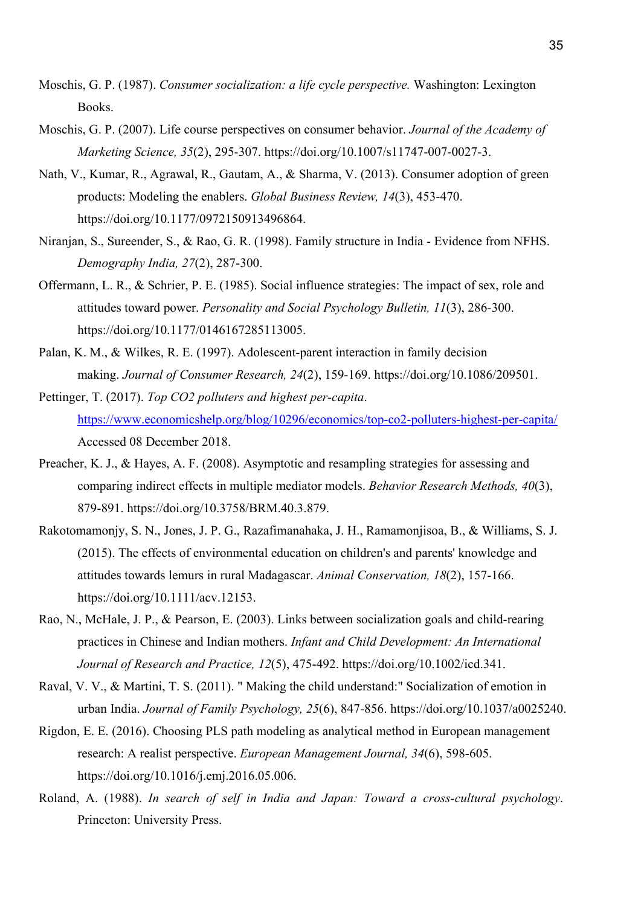- Moschis, G. P. (1987). *Consumer socialization: a life cycle perspective.* Washington: Lexington Books.
- Moschis, G. P. (2007). Life course perspectives on consumer behavior. *Journal of the Academy of Marketing Science, 35*(2), 295-307. https://doi.org/10.1007/s11747-007-0027-3.
- Nath, V., Kumar, R., Agrawal, R., Gautam, A., & Sharma, V. (2013). Consumer adoption of green products: Modeling the enablers. *Global Business Review, 14*(3), 453-470. https://doi.org/10.1177/0972150913496864.
- Niranjan, S., Sureender, S., & Rao, G. R. (1998). Family structure in India Evidence from NFHS. *Demography India, 27*(2), 287-300.
- Offermann, L. R., & Schrier, P. E. (1985). Social influence strategies: The impact of sex, role and attitudes toward power. *Personality and Social Psychology Bulletin, 11*(3), 286-300. https://doi.org/10.1177/0146167285113005.
- Palan, K. M., & Wilkes, R. E. (1997). Adolescent-parent interaction in family decision making. *Journal of Consumer Research, 24*(2), 159-169. https://doi.org/10.1086/209501.
- Pettinger, T. (2017). *Top CO2 polluters and highest per-capita*. https://www.economicshelp.org/blog/10296/economics/top-co2-polluters-highest-per-capita/ Accessed 08 December 2018.
- Preacher, K. J., & Hayes, A. F. (2008). Asymptotic and resampling strategies for assessing and comparing indirect effects in multiple mediator models. *Behavior Research Methods, 40*(3), 879-891. https://doi.org/10.3758/BRM.40.3.879.
- Rakotomamonjy, S. N., Jones, J. P. G., Razafimanahaka, J. H., Ramamonjisoa, B., & Williams, S. J. (2015). The effects of environmental education on children's and parents' knowledge and attitudes towards lemurs in rural Madagascar. *Animal Conservation, 18*(2), 157-166. https://doi.org/10.1111/acv.12153.
- Rao, N., McHale, J. P., & Pearson, E. (2003). Links between socialization goals and child-rearing practices in Chinese and Indian mothers. *Infant and Child Development: An International Journal of Research and Practice, 12*(5), 475-492. https://doi.org/10.1002/icd.341.
- Raval, V. V., & Martini, T. S. (2011). " Making the child understand:" Socialization of emotion in urban India. *Journal of Family Psychology, 25*(6), 847-856. https://doi.org/10.1037/a0025240.
- Rigdon, E. E. (2016). Choosing PLS path modeling as analytical method in European management research: A realist perspective. *European Management Journal, 34*(6), 598-605. https://doi.org/10.1016/j.emj.2016.05.006.
- Roland, A. (1988). *In search of self in India and Japan: Toward a cross-cultural psychology*. Princeton: University Press.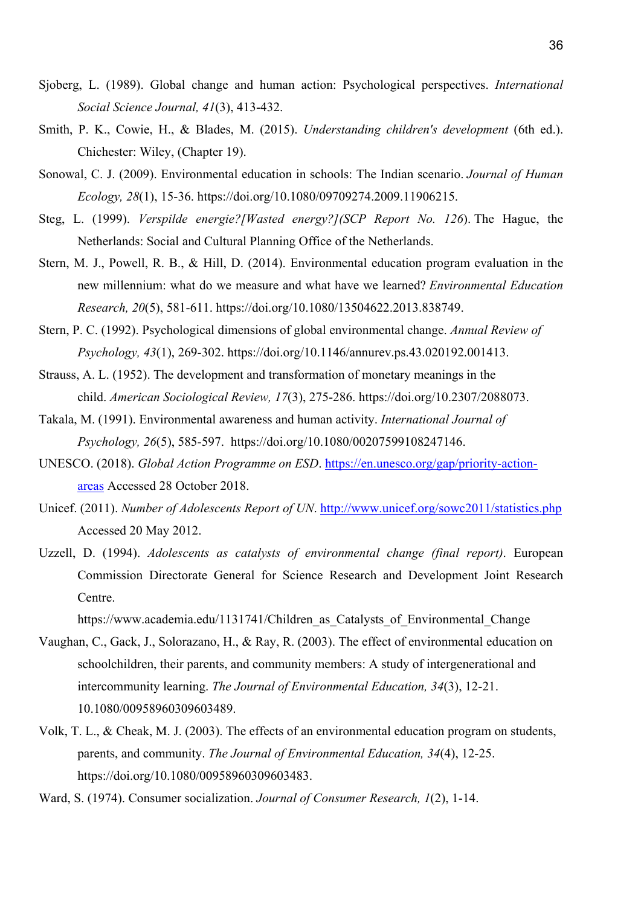- Sjoberg, L. (1989). Global change and human action: Psychological perspectives. *International Social Science Journal, 41*(3), 413-432.
- Smith, P. K., Cowie, H., & Blades, M. (2015). *Understanding children's development* (6th ed.). Chichester: Wiley, (Chapter 19).
- Sonowal, C. J. (2009). Environmental education in schools: The Indian scenario. *Journal of Human Ecology, 28*(1), 15-36. https://doi.org/10.1080/09709274.2009.11906215.
- Steg, L. (1999). *Verspilde energie?[Wasted energy?](SCP Report No. 126*). The Hague, the Netherlands: Social and Cultural Planning Office of the Netherlands.
- Stern, M. J., Powell, R. B., & Hill, D. (2014). Environmental education program evaluation in the new millennium: what do we measure and what have we learned? *Environmental Education Research, 20*(5), 581-611. https://doi.org/10.1080/13504622.2013.838749.
- Stern, P. C. (1992). Psychological dimensions of global environmental change. *Annual Review of Psychology, 43*(1), 269-302. https://doi.org/10.1146/annurev.ps.43.020192.001413.
- Strauss, A. L. (1952). The development and transformation of monetary meanings in the child. *American Sociological Review, 17*(3), 275-286. https://doi.org/10.2307/2088073.
- Takala, M. (1991). Environmental awareness and human activity. *International Journal of Psychology, 26*(5), 585-597. https://doi.org/10.1080/00207599108247146.
- UNESCO. (2018). *Global Action Programme on ESD*. https://en.unesco.org/gap/priority-actionareas Accessed 28 October 2018.
- Unicef. (2011). *Number of Adolescents Report of UN*. http://www.unicef.org/sowc2011/statistics.php Accessed 20 May 2012.
- Uzzell, D. (1994). *Adolescents as catalysts of environmental change (final report)*. European Commission Directorate General for Science Research and Development Joint Research Centre.

https://www.academia.edu/1131741/Children as Catalysts of Environmental Change

- Vaughan, C., Gack, J., Solorazano, H., & Ray, R. (2003). The effect of environmental education on schoolchildren, their parents, and community members: A study of intergenerational and intercommunity learning. *The Journal of Environmental Education, 34*(3), 12-21. 10.1080/00958960309603489.
- Volk, T. L., & Cheak, M. J. (2003). The effects of an environmental education program on students, parents, and community. *The Journal of Environmental Education, 34*(4), 12-25. https://doi.org/10.1080/00958960309603483.
- Ward, S. (1974). Consumer socialization. *Journal of Consumer Research, 1*(2), 1-14.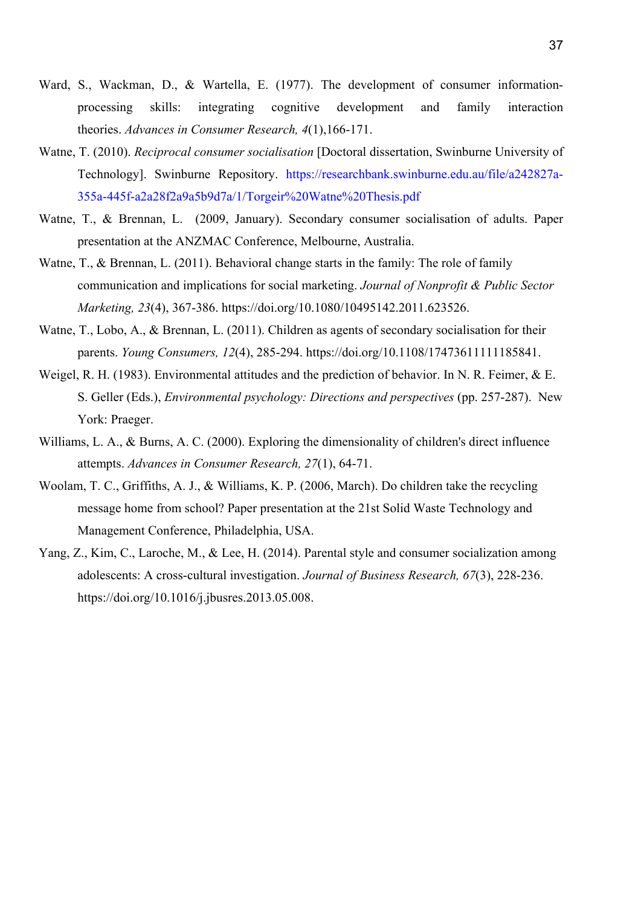- Ward, S., Wackman, D., & Wartella, E. (1977). The development of consumer informationprocessing skills: integrating cognitive development and family interaction theories. *Advances in Consumer Research, 4*(1),166-171.
- Watne, T. (2010). *Reciprocal consumer socialisation* [Doctoral dissertation, Swinburne University of Technology]. Swinburne Repository. https://researchbank.swinburne.edu.au/file/a242827a-355a-445f-a2a28f2a9a5b9d7a/1/Torgeir%20Watne%20Thesis.pdf
- Watne, T., & Brennan, L. (2009, January). Secondary consumer socialisation of adults. Paper presentation at the ANZMAC Conference, Melbourne, Australia.
- Watne, T., & Brennan, L. (2011). Behavioral change starts in the family: The role of family communication and implications for social marketing. *Journal of Nonprofit & Public Sector Marketing, 23*(4), 367-386. https://doi.org/10.1080/10495142.2011.623526.
- Watne, T., Lobo, A., & Brennan, L. (2011). Children as agents of secondary socialisation for their parents. *Young Consumers, 12*(4), 285-294. https://doi.org/10.1108/17473611111185841.
- Weigel, R. H. (1983). Environmental attitudes and the prediction of behavior. In N. R. Feimer, & E. S. Geller (Eds.), *Environmental psychology: Directions and perspectives* (pp. 257-287). New York: Praeger.
- Williams, L. A., & Burns, A. C. (2000). Exploring the dimensionality of children's direct influence attempts. *Advances in Consumer Research, 27*(1), 64-71.
- Woolam, T. C., Griffiths, A. J., & Williams, K. P. (2006, March). Do children take the recycling message home from school? Paper presentation at the 21st Solid Waste Technology and Management Conference, Philadelphia, USA.
- Yang, Z., Kim, C., Laroche, M., & Lee, H. (2014). Parental style and consumer socialization among adolescents: A cross-cultural investigation. *Journal of Business Research, 67*(3), 228-236. https://doi.org/10.1016/j.jbusres.2013.05.008.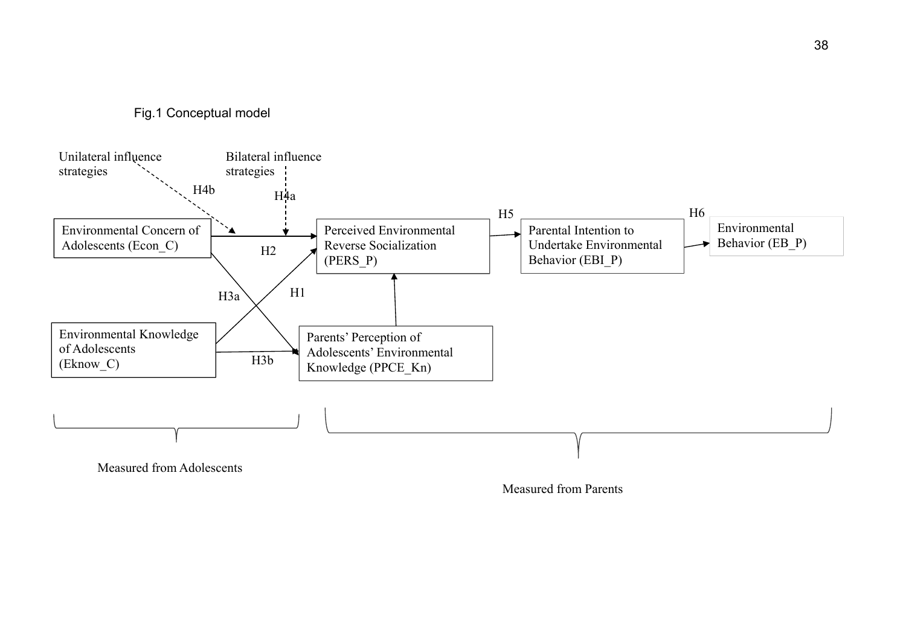Fig.1 Conceptual model



Measured from Parents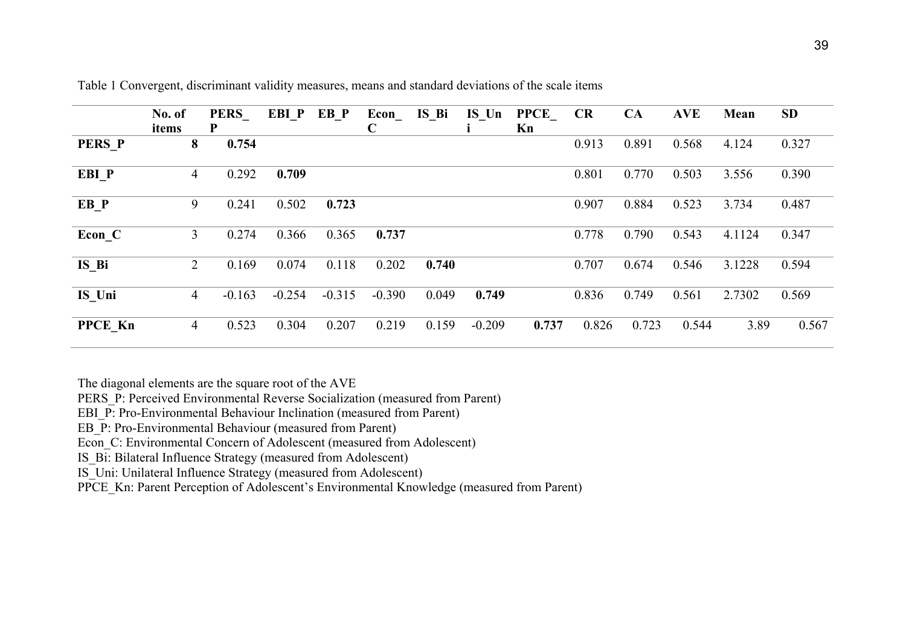|                | No. of<br>items | <b>PERS</b><br>P | EBI P    | EB P     | Econ<br>$\mathbf C$ | IS Bi | IS Un    | <b>PPCE</b><br>Kn | <b>CR</b> | CA    | <b>AVE</b> | Mean   | <b>SD</b> |
|----------------|-----------------|------------------|----------|----------|---------------------|-------|----------|-------------------|-----------|-------|------------|--------|-----------|
| <b>PERS P</b>  | 8               | 0.754            |          |          |                     |       |          |                   | 0.913     | 0.891 | 0.568      | 4.124  | 0.327     |
| EBI P          | 4               | 0.292            | 0.709    |          |                     |       |          |                   | 0.801     | 0.770 | 0.503      | 3.556  | 0.390     |
| $EB_P$         | 9               | 0.241            | 0.502    | 0.723    |                     |       |          |                   | 0.907     | 0.884 | 0.523      | 3.734  | 0.487     |
| Econ C         | 3               | 0.274            | 0.366    | 0.365    | 0.737               |       |          |                   | 0.778     | 0.790 | 0.543      | 4.1124 | 0.347     |
| $IS$ $Bi$      | $\overline{2}$  | 0.169            | 0.074    | 0.118    | 0.202               | 0.740 |          |                   | 0.707     | 0.674 | 0.546      | 3.1228 | 0.594     |
| IS Uni         | 4               | $-0.163$         | $-0.254$ | $-0.315$ | $-0.390$            | 0.049 | 0.749    |                   | 0.836     | 0.749 | 0.561      | 2.7302 | 0.569     |
| <b>PPCE Kn</b> | $\overline{4}$  | 0.523            | 0.304    | 0.207    | 0.219               | 0.159 | $-0.209$ | 0.737             | 0.826     | 0.723 | 0.544      | 3.89   | 0.567     |

Table 1 Convergent, discriminant validity measures, means and standard deviations of the scale items

The diagonal elements are the square root of the AVE

PERS P: Perceived Environmental Reverse Socialization (measured from Parent)

EBI\_P: Pro-Environmental Behaviour Inclination (measured from Parent)

EB\_P: Pro-Environmental Behaviour (measured from Parent)

Econ\_C: Environmental Concern of Adolescent (measured from Adolescent)

IS\_Bi: Bilateral Influence Strategy (measured from Adolescent)

IS\_Uni: Unilateral Influence Strategy (measured from Adolescent)

PPCE\_Kn: Parent Perception of Adolescent's Environmental Knowledge (measured from Parent)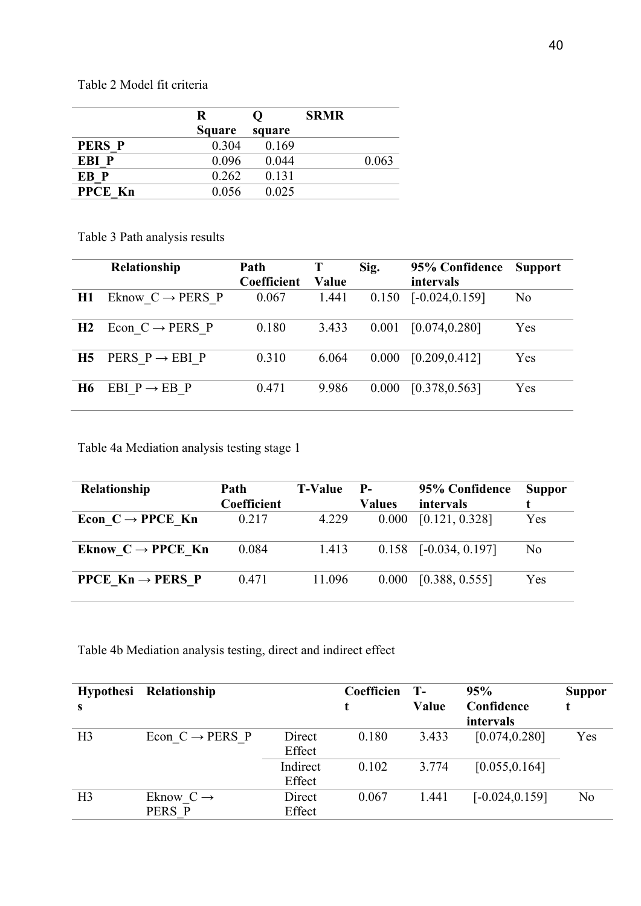Table 2 Model fit criteria

|                | R             | $\mathbf{\Omega}$ | <b>SRMR</b> |       |
|----------------|---------------|-------------------|-------------|-------|
|                | <b>Square</b> | square            |             |       |
| <b>PERS P</b>  | 0.304         | 0.169             |             |       |
| EBI P          | 0.096         | 0.044             |             | 0.063 |
| EB P           | 0.262         | 0.131             |             |       |
| <b>PPCE Kn</b> | 0.056         | 0.025             |             |       |

Table 3 Path analysis results

|           | Relationship                 | Path<br>Coefficient | Value | Sig.  | 95% Confidence<br>intervals | <b>Support</b> |
|-----------|------------------------------|---------------------|-------|-------|-----------------------------|----------------|
| H1        | Eknow $C \rightarrow PERS$ P | 0.067               | 1.441 | 0.150 | $[-0.024, 0.159]$           | N <sub>o</sub> |
| H2        | Econ $C \rightarrow PERS$ P  | 0.180               | 3.433 | 0.001 | [0.074, 0.280]              | Yes            |
| <b>H5</b> | PERS $P \rightarrow EBI$ P   | 0.310               | 6.064 | 0.000 | [0.209, 0.412]              | Yes            |
| H6.       | EBI $P \rightarrow EB$ P     | 0.471               | 9.986 | 0.000 | [0.378, 0.563]              | Yes            |

Table 4a Mediation analysis testing stage 1

| Relationship                                   | Path        | <b>T-Value</b> | $P-$          | 95% Confidence          | <b>Suppor</b>  |
|------------------------------------------------|-------------|----------------|---------------|-------------------------|----------------|
|                                                | Coefficient |                | <b>Values</b> | intervals               |                |
| Econ $C \rightarrow$ PPCE Kn                   | 0.217       | 4.229          | 0.000         | [0.121, 0.328]          | Yes            |
| Eknow $C \rightarrow$ PPCE Kn                  | 0.084       | 1.413          |               | $0.158$ [-0.034, 0.197] | N <sub>0</sub> |
| <b>PPCE <math>Kn \rightarrow PERS</math> P</b> | 0.471       | 11.096         | 0.000         | [0.388, 0.555]          | Yes            |

Table 4b Mediation analysis testing, direct and indirect effect

| <b>Hypothesi</b><br>s | Relationship                    |                    | Coefficien | <b>T-</b><br>Value | 95%<br>Confidence<br>intervals | Suppor         |
|-----------------------|---------------------------------|--------------------|------------|--------------------|--------------------------------|----------------|
| H <sub>3</sub>        | Econ $C \rightarrow PERS$ P     | Direct<br>Effect   | 0.180      | 3.433              | [0.074, 0.280]                 | Yes            |
|                       |                                 | Indirect<br>Effect | 0.102      | 3.774              | [0.055, 0.164]                 |                |
| H <sub>3</sub>        | Eknow $C \rightarrow$<br>PERS P | Direct<br>Effect   | 0.067      | 1.441              | $[-0.024, 0.159]$              | N <sub>o</sub> |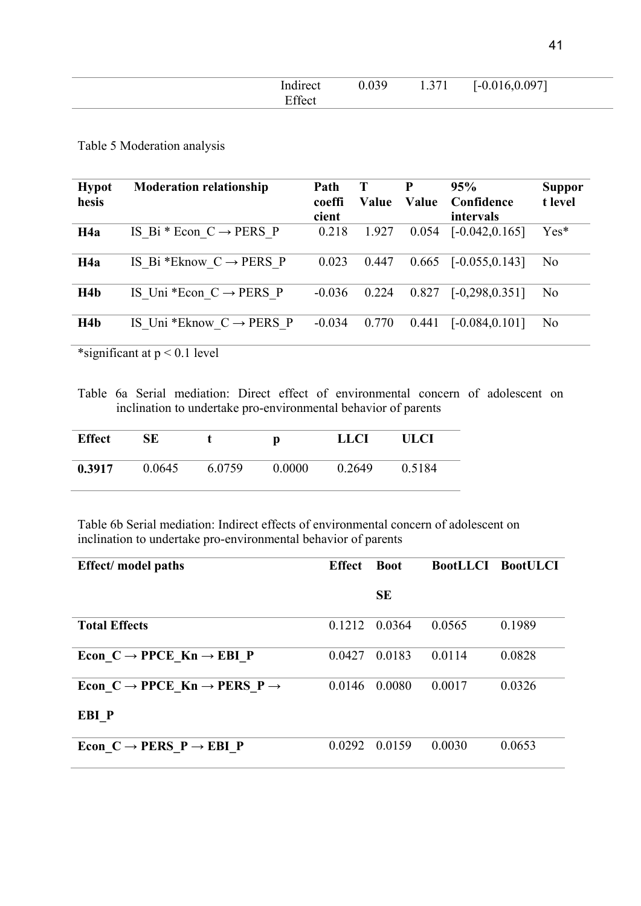| . .<br>$\sim$ | $\sim$ | $\blacksquare$<br>1.771 | $-1$<br>. . |  |
|---------------|--------|-------------------------|-------------|--|
|               |        |                         |             |  |

Table 5 Moderation analysis

| <b>Hypot</b><br>hesis | <b>Moderation relationship</b>       | Path<br>coeffi<br>cient | T<br>Value | P<br>Value | 95%<br>Confidence<br>intervals | <b>Suppor</b><br>t level |
|-----------------------|--------------------------------------|-------------------------|------------|------------|--------------------------------|--------------------------|
| H <sub>4a</sub>       | IS Bi * Econ $C \rightarrow PERS$ P  | 0.218                   | 1.927      | 0.054      | $[-0.042, 0.165]$              | $Yes*$                   |
| H <sub>4a</sub>       | IS Bi *Eknow $C \rightarrow PERS$ P  | 0.023                   | 0.447      | 0.665      | $[-0.055, 0.143]$              | N <sub>o</sub>           |
| H4b                   | IS Uni *Econ $C \rightarrow PERS$ P  | $-0.036$                | 0.224      | 0.827      | $[-0, 298, 0.351]$             | N <sub>o</sub>           |
| H <sub>4</sub> b      | IS Uni *Eknow $C \rightarrow PERS$ P | $-0.034$                | 0.770      | 0.441      | $[-0.084, 0.101]$              | N <sub>o</sub>           |

\*significant at  $p < 0.1$  level

Table 6a Serial mediation: Direct effect of environmental concern of adolescent on inclination to undertake pro-environmental behavior of parents

| <b>Effect</b> | SE     |        | D      | <b>LLCI</b> | ULCI   |
|---------------|--------|--------|--------|-------------|--------|
| 0.3917        | 0.0645 | 6.0759 | 0.0000 | 0.2649      | 0.5184 |

Table 6b Serial mediation: Indirect effects of environmental concern of adolescent on inclination to undertake pro-environmental behavior of parents

| <b>Effect</b> / model paths                                     | <b>Effect</b> | <b>Boot</b> | <b>BootLLCI BootULCI</b> |        |
|-----------------------------------------------------------------|---------------|-------------|--------------------------|--------|
|                                                                 |               | <b>SE</b>   |                          |        |
| <b>Total Effects</b>                                            | 0.1212        | 0.0364      | 0.0565                   | 0.1989 |
| Econ $C \rightarrow$ PPCE $Kn \rightarrow$ EBI P                | 0.0427        | 0.0183      | 0.0114                   | 0.0828 |
| Econ $C \rightarrow$ PPCE Kn $\rightarrow$ PERS P $\rightarrow$ | 0.0146        | 0.0080      | 0.0017                   | 0.0326 |
| EBI P                                                           |               |             |                          |        |
| Econ $C \rightarrow PERS$ $P \rightarrow EBI$ P                 | 0.0292 0.0159 |             | 0.0030                   | 0.0653 |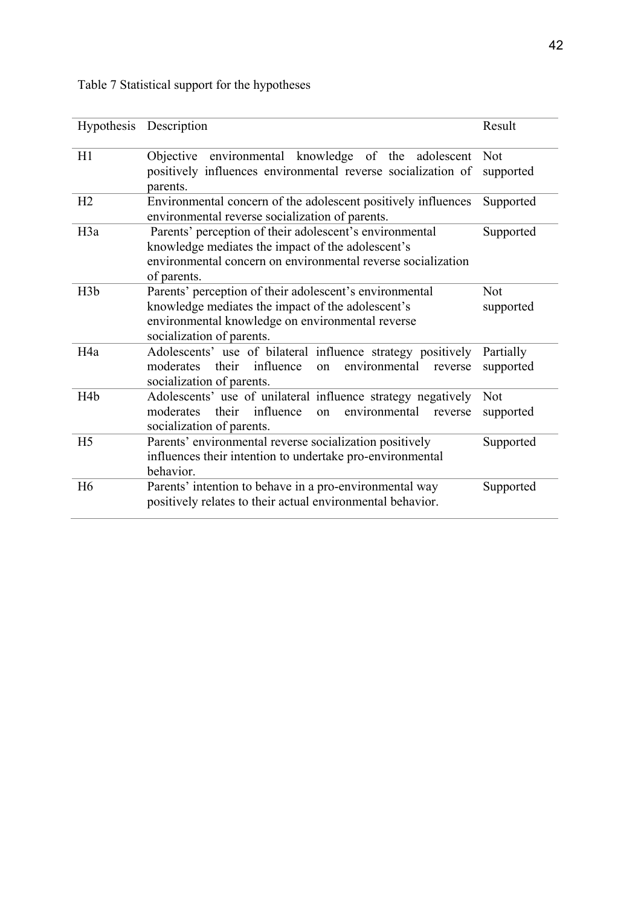|                  | Hypothesis Description                                                                                                                                                                        | Result                  |
|------------------|-----------------------------------------------------------------------------------------------------------------------------------------------------------------------------------------------|-------------------------|
| H1               | Objective environmental knowledge of the adolescent<br>positively influences environmental reverse socialization of<br>parents.                                                               | <b>Not</b><br>supported |
| H <sub>2</sub>   | Environmental concern of the adolescent positively influences<br>environmental reverse socialization of parents.                                                                              | Supported               |
| H <sub>3</sub> a | Parents' perception of their adolescent's environmental<br>knowledge mediates the impact of the adolescent's<br>environmental concern on environmental reverse socialization<br>of parents.   | Supported               |
| H3b              | Parents' perception of their adolescent's environmental<br>knowledge mediates the impact of the adolescent's<br>environmental knowledge on environmental reverse<br>socialization of parents. | <b>Not</b><br>supported |
| H <sub>4a</sub>  | Adolescents' use of bilateral influence strategy positively<br>influence<br>environmental<br>their<br>moderates<br>on<br>reverse<br>socialization of parents.                                 | Partially<br>supported  |
| H <sub>4</sub> b | Adolescents' use of unilateral influence strategy negatively<br>their influence<br>moderates<br>environmental<br>on<br>reverse<br>socialization of parents.                                   | Not<br>supported        |
| H <sub>5</sub>   | Parents' environmental reverse socialization positively<br>influences their intention to undertake pro-environmental<br>behavior.                                                             | Supported               |
| H <sub>6</sub>   | Parents' intention to behave in a pro-environmental way<br>positively relates to their actual environmental behavior.                                                                         | Supported               |

# Table 7 Statistical support for the hypotheses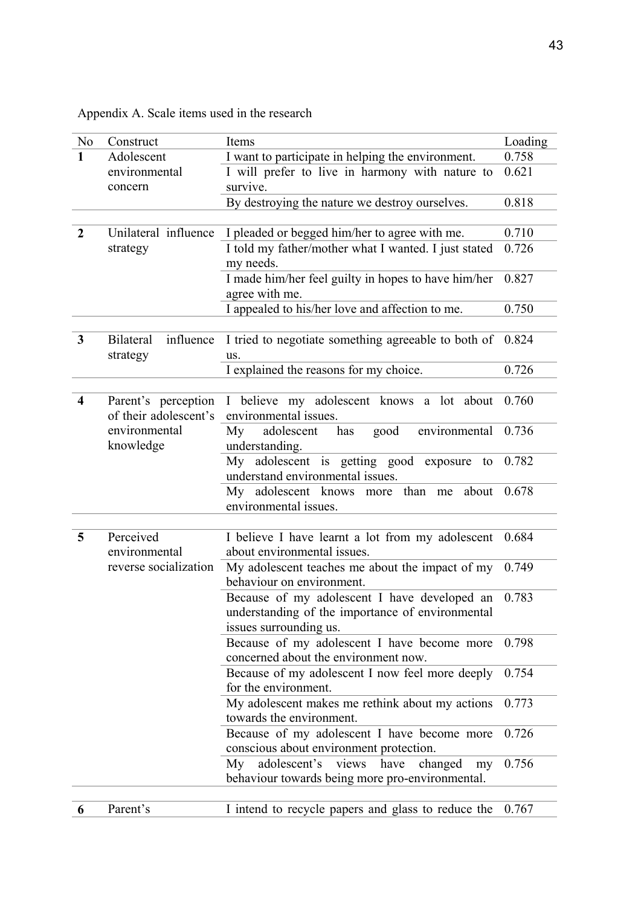Appendix A. Scale items used in the research

| N <sub>o</sub>          | Construct                                    | Items                                                                                                                      | Loading |
|-------------------------|----------------------------------------------|----------------------------------------------------------------------------------------------------------------------------|---------|
| $\mathbf{1}$            | Adolescent                                   | I want to participate in helping the environment.                                                                          | 0.758   |
|                         | environmental<br>concern                     | I will prefer to live in harmony with nature to<br>survive.                                                                | 0.621   |
|                         |                                              | By destroying the nature we destroy ourselves.                                                                             | 0.818   |
| $\overline{2}$          | Unilateral influence                         | I pleaded or begged him/her to agree with me.                                                                              | 0.710   |
|                         | strategy                                     | I told my father/mother what I wanted. I just stated<br>my needs.                                                          | 0.726   |
|                         |                                              | I made him/her feel guilty in hopes to have him/her<br>agree with me.                                                      | 0.827   |
|                         |                                              | I appealed to his/her love and affection to me.                                                                            | 0.750   |
| 3                       | <b>Bilateral</b><br>influence<br>strategy    | I tried to negotiate something agreeable to both of<br>us.                                                                 | 0.824   |
|                         |                                              | I explained the reasons for my choice.                                                                                     | 0.726   |
|                         |                                              |                                                                                                                            |         |
| $\overline{\mathbf{4}}$ | Parent's perception<br>of their adolescent's | I believe my adolescent knows a lot about<br>environmental issues.                                                         | 0.760   |
|                         | environmental<br>knowledge                   | environmental<br>My<br>adolescent<br>has<br>good<br>understanding.                                                         | 0.736   |
|                         |                                              | My adolescent is getting good exposure to<br>understand environmental issues.                                              | 0.782   |
|                         |                                              | My adolescent knows more than me about<br>environmental issues.                                                            | 0.678   |
|                         |                                              |                                                                                                                            |         |
| 5                       | Perceived<br>environmental                   | I believe I have learnt a lot from my adolescent<br>about environmental issues.                                            | 0.684   |
|                         | reverse socialization                        | My adolescent teaches me about the impact of my<br>behaviour on environment.                                               | 0.749   |
|                         |                                              | Because of my adolescent I have developed an<br>understanding of the importance of environmental<br>issues surrounding us. | 0.783   |
|                         |                                              | Because of my adolescent I have become more<br>concerned about the environment now.                                        | 0.798   |
|                         |                                              | Because of my adolescent I now feel more deeply<br>for the environment.                                                    | 0.754   |
|                         |                                              | My adolescent makes me rethink about my actions<br>towards the environment.                                                | 0.773   |
|                         |                                              | Because of my adolescent I have become more<br>conscious about environment protection.                                     | 0.726   |
|                         |                                              | adolescent's views have changed<br>My<br>my<br>behaviour towards being more pro-environmental.                             | 0.756   |
|                         |                                              |                                                                                                                            |         |
| 6                       | Parent's                                     | I intend to recycle papers and glass to reduce the                                                                         | 0.767   |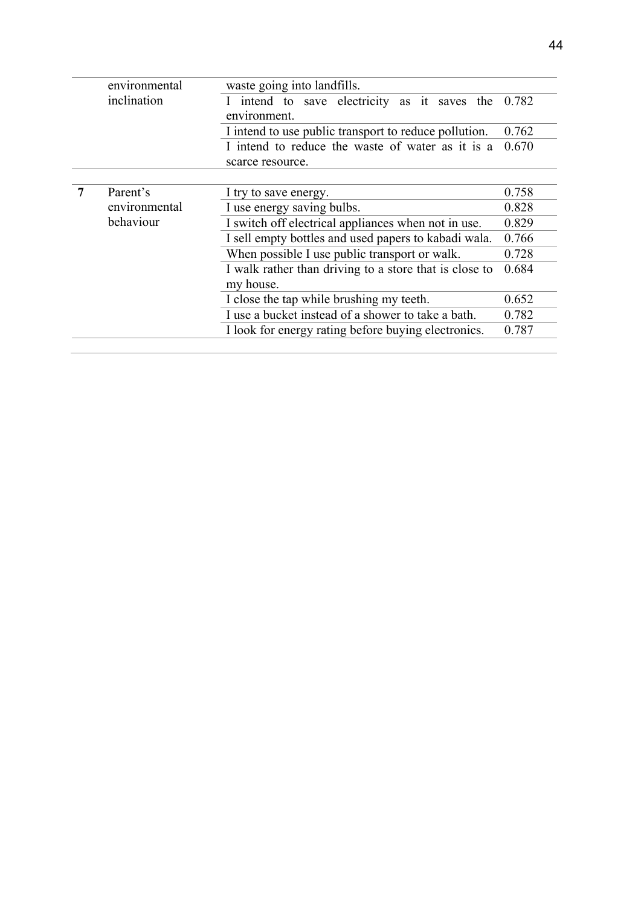|   | environmental | waste going into landfills.                            |       |  |  |  |  |  |
|---|---------------|--------------------------------------------------------|-------|--|--|--|--|--|
|   | inclination   | I intend to save electricity as it saves the           | 0.782 |  |  |  |  |  |
|   |               | environment.                                           |       |  |  |  |  |  |
|   |               | I intend to use public transport to reduce pollution.  | 0.762 |  |  |  |  |  |
|   |               | I intend to reduce the waste of water as it is a       | 0.670 |  |  |  |  |  |
|   |               | scarce resource.                                       |       |  |  |  |  |  |
|   |               |                                                        |       |  |  |  |  |  |
| 7 | Parent's      | I try to save energy.                                  | 0.758 |  |  |  |  |  |
|   | environmental | I use energy saving bulbs.                             | 0.828 |  |  |  |  |  |
|   | behaviour     | I switch off electrical appliances when not in use.    | 0.829 |  |  |  |  |  |
|   |               | I sell empty bottles and used papers to kabadi wala.   | 0.766 |  |  |  |  |  |
|   |               | When possible I use public transport or walk.          | 0.728 |  |  |  |  |  |
|   |               | I walk rather than driving to a store that is close to | 0.684 |  |  |  |  |  |
|   |               | my house.                                              |       |  |  |  |  |  |
|   |               | I close the tap while brushing my teeth.               | 0.652 |  |  |  |  |  |
|   |               | I use a bucket instead of a shower to take a bath.     | 0.782 |  |  |  |  |  |
|   |               | I look for energy rating before buying electronics.    | 0.787 |  |  |  |  |  |
|   |               |                                                        |       |  |  |  |  |  |